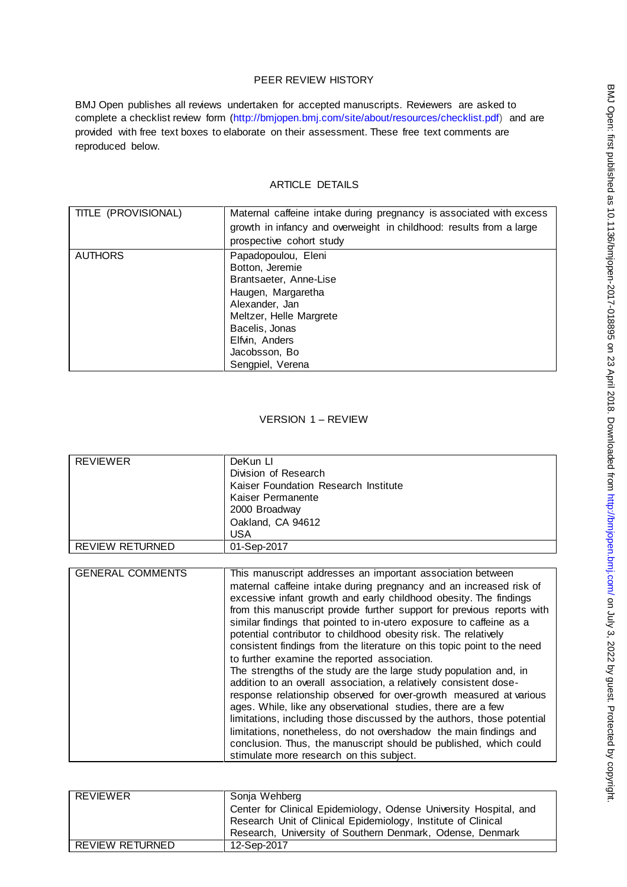## PEER REVIEW HISTORY

BMJ Open publishes all reviews undertaken for accepted manuscripts. Reviewers are asked to complete a checklist review form [\(http://bmjopen.bmj.com/site/about/resources/checklist.pdf\)](http://bmjopen.bmj.com/site/about/resources/checklist.pdf) and are provided with free text boxes to elaborate on their assessment. These free text comments are reproduced below.

# ARTICLE DETAILS

| TITLE (PROVISIONAL) | Maternal caffeine intake during pregnancy is associated with excess<br>growth in infancy and overweight in childhood: results from a large<br>prospective cohort study                                       |
|---------------------|--------------------------------------------------------------------------------------------------------------------------------------------------------------------------------------------------------------|
| <b>AUTHORS</b>      | Papadopoulou, Eleni<br>Botton, Jeremie<br>Brantsaeter, Anne-Lise<br>Haugen, Margaretha<br>Alexander, Jan<br>Meltzer, Helle Margrete<br>Bacelis, Jonas<br>Elfvin, Anders<br>Jacobsson, Bo<br>Sengpiel, Verena |

## VERSION 1 – REVIEW

| <b>REVIEWER</b>         | DeKun LI                                                                |  |  |  |
|-------------------------|-------------------------------------------------------------------------|--|--|--|
|                         | Division of Research                                                    |  |  |  |
|                         | Kaiser Foundation Research Institute                                    |  |  |  |
|                         | Kaiser Permanente                                                       |  |  |  |
|                         | 2000 Broadway                                                           |  |  |  |
|                         | Oakland, CA 94612                                                       |  |  |  |
|                         | USA                                                                     |  |  |  |
| <b>REVIEW RETURNED</b>  | 01-Sep-2017                                                             |  |  |  |
|                         |                                                                         |  |  |  |
| <b>GENERAL COMMENTS</b> | This manuscript addresses an important association between              |  |  |  |
|                         | maternal caffeine intake during pregnancy and an increased risk of      |  |  |  |
|                         | excessive infant growth and early childhood obesity. The findings       |  |  |  |
|                         | from this manuscript provide further support for previous reports with  |  |  |  |
|                         | similar findings that pointed to in-utero exposure to caffeine as a     |  |  |  |
|                         | potential contributor to childhood obesity risk. The relatively         |  |  |  |
|                         | consistent findings from the literature on this topic point to the need |  |  |  |
|                         | to further examine the reported association.                            |  |  |  |
|                         | The strengths of the study are the large study population and, in       |  |  |  |
|                         | addition to an overall association, a relatively consistent dose-       |  |  |  |
|                         | response relationship observed for over-growth measured at various      |  |  |  |
|                         | ages. While, like any observational studies, there are a few            |  |  |  |
|                         | limitations, including those discussed by the authors, those potential  |  |  |  |
|                         | limitations, nonetheless, do not overshadow the main findings and       |  |  |  |
|                         | conclusion. Thus, the manuscript should be published, which could       |  |  |  |
|                         | stimulate more research on this subject.                                |  |  |  |
|                         |                                                                         |  |  |  |

| REVIEWER        | Sonja Wehberg<br>Center for Clinical Epidemiology, Odense University Hospital, and<br>Research Unit of Clinical Epidemiology, Institute of Clinical |  |
|-----------------|-----------------------------------------------------------------------------------------------------------------------------------------------------|--|
|                 | Research, University of Southern Denmark, Odense, Denmark                                                                                           |  |
| REVIEW RETURNED | 12-Sep-2017                                                                                                                                         |  |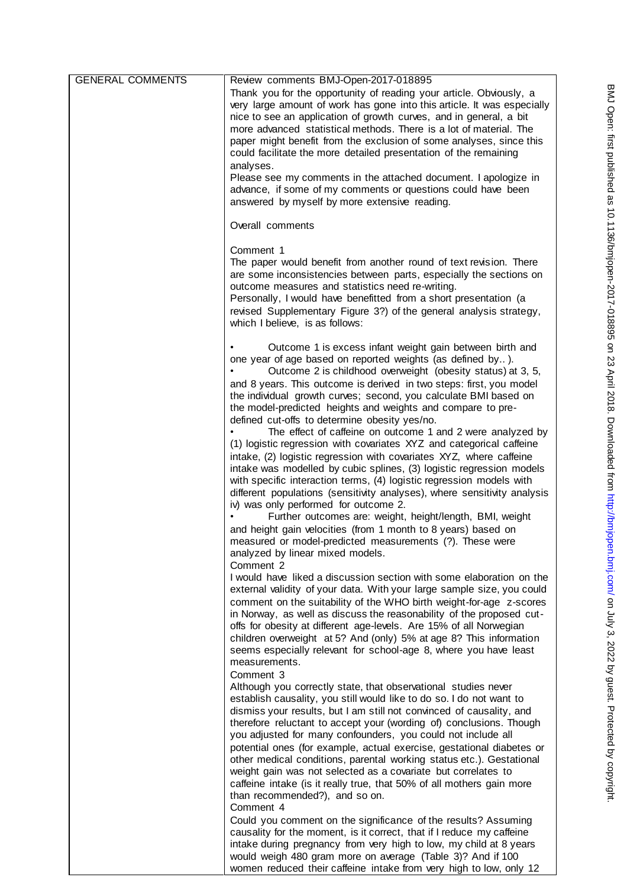| <b>GENERAL COMMENTS</b> | Review comments BMJ-Open-2017-018895                                                                                                                                                                                                                                                                                                                                                                                                                                                                                                                                                                                                                                                                         |
|-------------------------|--------------------------------------------------------------------------------------------------------------------------------------------------------------------------------------------------------------------------------------------------------------------------------------------------------------------------------------------------------------------------------------------------------------------------------------------------------------------------------------------------------------------------------------------------------------------------------------------------------------------------------------------------------------------------------------------------------------|
|                         | Thank you for the opportunity of reading your article. Obviously, a<br>very large amount of work has gone into this article. It was especially<br>nice to see an application of growth curves, and in general, a bit<br>more advanced statistical methods. There is a lot of material. The<br>paper might benefit from the exclusion of some analyses, since this<br>could facilitate the more detailed presentation of the remaining<br>analyses.<br>Please see my comments in the attached document. I apologize in<br>advance, if some of my comments or questions could have been<br>answered by myself by more extensive reading.                                                                       |
|                         | Overall comments                                                                                                                                                                                                                                                                                                                                                                                                                                                                                                                                                                                                                                                                                             |
|                         | Comment 1<br>The paper would benefit from another round of text revision. There<br>are some inconsistencies between parts, especially the sections on<br>outcome measures and statistics need re-writing.<br>Personally, I would have benefitted from a short presentation (a<br>revised Supplementary Figure 3?) of the general analysis strategy,<br>which I believe, is as follows:                                                                                                                                                                                                                                                                                                                       |
|                         | Outcome 1 is excess infant weight gain between birth and<br>one year of age based on reported weights (as defined by).<br>Outcome 2 is childhood overweight (obesity status) at 3, 5,<br>and 8 years. This outcome is derived in two steps: first, you model<br>the individual growth curves; second, you calculate BMI based on<br>the model-predicted heights and weights and compare to pre-<br>defined cut-offs to determine obesity yes/no.<br>The effect of caffeine on outcome 1 and 2 were analyzed by<br>(1) logistic regression with covariates XYZ and categorical caffeine                                                                                                                       |
|                         | intake, (2) logistic regression with covariates XYZ, where caffeine<br>intake was modelled by cubic splines, (3) logistic regression models<br>with specific interaction terms, (4) logistic regression models with<br>different populations (sensitivity analyses), where sensitivity analysis<br>iv) was only performed for outcome 2.<br>Further outcomes are: weight, height/length, BMI, weight<br>and height gain velocities (from 1 month to 8 years) based on<br>measured or model-predicted measurements (?). These were                                                                                                                                                                            |
|                         | analyzed by linear mixed models.                                                                                                                                                                                                                                                                                                                                                                                                                                                                                                                                                                                                                                                                             |
|                         | Comment 2                                                                                                                                                                                                                                                                                                                                                                                                                                                                                                                                                                                                                                                                                                    |
|                         | I would have liked a discussion section with some elaboration on the<br>external validity of your data. With your large sample size, you could<br>comment on the suitability of the WHO birth weight-for-age z-scores<br>in Norway, as well as discuss the reasonability of the proposed cut-<br>offs for obesity at different age-levels. Are 15% of all Norwegian<br>children overweight at 5? And (only) 5% at age 8? This information<br>seems especially relevant for school-age 8, where you have least<br>measurements.                                                                                                                                                                               |
|                         | Comment 3<br>Although you correctly state, that observational studies never<br>establish causality, you still would like to do so. I do not want to<br>dismiss your results, but I am still not convinced of causality, and<br>therefore reluctant to accept your (wording of) conclusions. Though<br>you adjusted for many confounders, you could not include all<br>potential ones (for example, actual exercise, gestational diabetes or<br>other medical conditions, parental working status etc.). Gestational<br>weight gain was not selected as a covariate but correlates to<br>caffeine intake (is it really true, that 50% of all mothers gain more<br>than recommended?), and so on.<br>Comment 4 |
|                         | Could you comment on the significance of the results? Assuming<br>causality for the moment, is it correct, that if I reduce my caffeine<br>intake during pregnancy from very high to low, my child at 8 years<br>would weigh 480 gram more on average (Table 3)? And if 100<br>women reduced their caffeine intake from very high to low, only 12                                                                                                                                                                                                                                                                                                                                                            |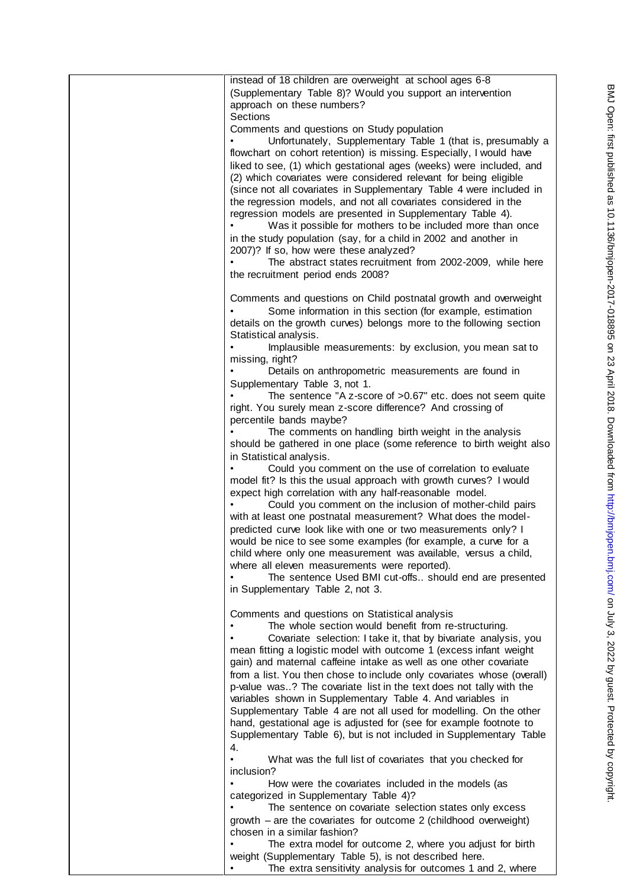| instead of 18 children are overweight at school ages 6-8<br>(Supplementary Table 8)? Would you support an intervention<br>approach on these numbers?<br><b>Sections</b>                                                                                                                                                                                                                                                                                                                                                                                                                                                                                                                                                                                                                                           |
|-------------------------------------------------------------------------------------------------------------------------------------------------------------------------------------------------------------------------------------------------------------------------------------------------------------------------------------------------------------------------------------------------------------------------------------------------------------------------------------------------------------------------------------------------------------------------------------------------------------------------------------------------------------------------------------------------------------------------------------------------------------------------------------------------------------------|
| Comments and questions on Study population<br>Unfortunately, Supplementary Table 1 (that is, presumably a<br>flowchart on cohort retention) is missing. Especially, I would have<br>liked to see, (1) which gestational ages (weeks) were included, and<br>(2) which covariates were considered relevant for being eligible<br>(since not all covariates in Supplementary Table 4 were included in<br>the regression models, and not all covariates considered in the<br>regression models are presented in Supplementary Table 4).<br>Was it possible for mothers to be included more than once<br>in the study population (say, for a child in 2002 and another in<br>2007)? If so, how were these analyzed?<br>The abstract states recruitment from 2002-2009, while here<br>the recruitment period ends 2008? |
| Comments and questions on Child postnatal growth and overweight<br>Some information in this section (for example, estimation<br>details on the growth curves) belongs more to the following section<br>Statistical analysis.                                                                                                                                                                                                                                                                                                                                                                                                                                                                                                                                                                                      |
| Implausible measurements: by exclusion, you mean sat to<br>missing, right?<br>Details on anthropometric measurements are found in                                                                                                                                                                                                                                                                                                                                                                                                                                                                                                                                                                                                                                                                                 |
| Supplementary Table 3, not 1.<br>The sentence "A z-score of >0.67" etc. does not seem quite<br>right. You surely mean z-score difference? And crossing of                                                                                                                                                                                                                                                                                                                                                                                                                                                                                                                                                                                                                                                         |
| percentile bands maybe?<br>The comments on handling birth weight in the analysis<br>should be gathered in one place (some reference to birth weight also                                                                                                                                                                                                                                                                                                                                                                                                                                                                                                                                                                                                                                                          |
| in Statistical analysis.<br>Could you comment on the use of correlation to evaluate<br>model fit? Is this the usual approach with growth curves? I would<br>expect high correlation with any half-reasonable model.<br>Could you comment on the inclusion of mother-child pairs<br>with at least one postnatal measurement? What does the model-<br>predicted curve look like with one or two measurements only? I<br>would be nice to see some examples (for example, a curve for a                                                                                                                                                                                                                                                                                                                              |
| child where only one measurement was available, versus a child,<br>where all eleven measurements were reported).<br>The sentence Used BMI cut-offs should end are presented<br>in Supplementary Table 2, not 3.                                                                                                                                                                                                                                                                                                                                                                                                                                                                                                                                                                                                   |
| Comments and questions on Statistical analysis<br>The whole section would benefit from re-structuring.<br>Covariate selection: I take it, that by bivariate analysis, you<br>mean fitting a logistic model with outcome 1 (excess infant weight<br>gain) and maternal caffeine intake as well as one other covariate<br>from a list. You then chose to include only covariates whose (overall)<br>p-value was? The covariate list in the text does not tally with the<br>variables shown in Supplementary Table 4. And variables in<br>Supplementary Table 4 are not all used for modelling. On the other<br>hand, gestational age is adjusted for (see for example footnote to<br>Supplementary Table 6), but is not included in Supplementary Table                                                             |
| 4.<br>What was the full list of covariates that you checked for<br>$\bullet$<br>inclusion?                                                                                                                                                                                                                                                                                                                                                                                                                                                                                                                                                                                                                                                                                                                        |
| How were the covariates included in the models (as<br>categorized in Supplementary Table 4)?<br>The sentence on covariate selection states only excess                                                                                                                                                                                                                                                                                                                                                                                                                                                                                                                                                                                                                                                            |
| growth - are the covariates for outcome 2 (childhood overweight)<br>chosen in a similar fashion?<br>The extra model for outcome 2, where you adjust for birth                                                                                                                                                                                                                                                                                                                                                                                                                                                                                                                                                                                                                                                     |
| weight (Supplementary Table 5), is not described here.<br>The extra sensitivity analysis for outcomes 1 and 2, where                                                                                                                                                                                                                                                                                                                                                                                                                                                                                                                                                                                                                                                                                              |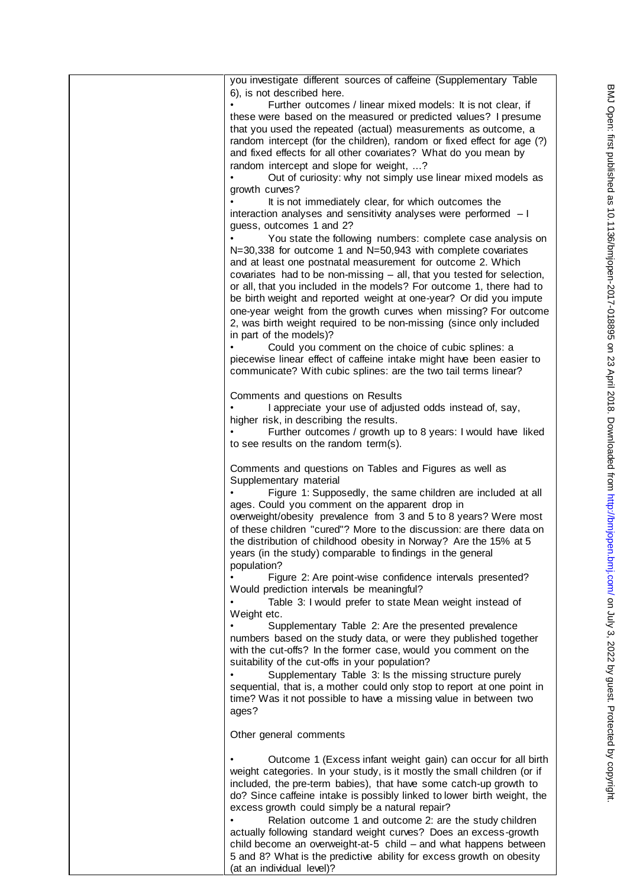| you investigate different sources of caffeine (Supplementary Table<br>6), is not described here.<br>Further outcomes / linear mixed models: It is not clear, if<br>these were based on the measured or predicted values? I presume<br>that you used the repeated (actual) measurements as outcome, a<br>random intercept (for the children), random or fixed effect for age (?)<br>and fixed effects for all other covariates? What do you mean by<br>random intercept and slope for weight, ?<br>Out of curiosity: why not simply use linear mixed models as<br>growth curves?<br>It is not immediately clear, for which outcomes the<br>interaction analyses and sensitivity analyses were performed - I<br>guess, outcomes 1 and 2?<br>You state the following numbers: complete case analysis on<br>N=30,338 for outcome 1 and N=50,943 with complete covariates<br>and at least one postnatal measurement for outcome 2. Which<br>covariates had to be non-missing - all, that you tested for selection,<br>or all, that you included in the models? For outcome 1, there had to<br>be birth weight and reported weight at one-year? Or did you impute<br>one-year weight from the growth curves when missing? For outcome<br>2, was birth weight required to be non-missing (since only included<br>in part of the models)?<br>Could you comment on the choice of cubic splines: a<br>piecewise linear effect of caffeine intake might have been easier to<br>communicate? With cubic splines: are the two tail terms linear? |
|-------------------------------------------------------------------------------------------------------------------------------------------------------------------------------------------------------------------------------------------------------------------------------------------------------------------------------------------------------------------------------------------------------------------------------------------------------------------------------------------------------------------------------------------------------------------------------------------------------------------------------------------------------------------------------------------------------------------------------------------------------------------------------------------------------------------------------------------------------------------------------------------------------------------------------------------------------------------------------------------------------------------------------------------------------------------------------------------------------------------------------------------------------------------------------------------------------------------------------------------------------------------------------------------------------------------------------------------------------------------------------------------------------------------------------------------------------------------------------------------------------------------------------------|
| Comments and questions on Results<br>I appreciate your use of adjusted odds instead of, say,<br>higher risk, in describing the results.<br>Further outcomes / growth up to 8 years: I would have liked<br>to see results on the random term(s).                                                                                                                                                                                                                                                                                                                                                                                                                                                                                                                                                                                                                                                                                                                                                                                                                                                                                                                                                                                                                                                                                                                                                                                                                                                                                     |
| Comments and questions on Tables and Figures as well as<br>Supplementary material<br>Figure 1: Supposedly, the same children are included at all<br>ages. Could you comment on the apparent drop in<br>overweight/obesity prevalence from 3 and 5 to 8 years? Were most<br>of these children "cured"? More to the discussion: are there data on<br>the distribution of childhood obesity in Norway? Are the 15% at 5<br>years (in the study) comparable to findings in the general<br>population?<br>Figure 2: Are point-wise confidence intervals presented?                                                                                                                                                                                                                                                                                                                                                                                                                                                                                                                                                                                                                                                                                                                                                                                                                                                                                                                                                                       |
| Would prediction intervals be meaningful?<br>Table 3: I would prefer to state Mean weight instead of<br>Weight etc.<br>Supplementary Table 2: Are the presented prevalence<br>numbers based on the study data, or were they published together<br>with the cut-offs? In the former case, would you comment on the<br>suitability of the cut-offs in your population?<br>Supplementary Table 3: Is the missing structure purely<br>sequential, that is, a mother could only stop to report at one point in<br>time? Was it not possible to have a missing value in between two<br>ages?                                                                                                                                                                                                                                                                                                                                                                                                                                                                                                                                                                                                                                                                                                                                                                                                                                                                                                                                              |
| Other general comments                                                                                                                                                                                                                                                                                                                                                                                                                                                                                                                                                                                                                                                                                                                                                                                                                                                                                                                                                                                                                                                                                                                                                                                                                                                                                                                                                                                                                                                                                                              |
| Outcome 1 (Excess infant weight gain) can occur for all birth<br>weight categories. In your study, is it mostly the small children (or if<br>included, the pre-term babies), that have some catch-up growth to<br>do? Since caffeine intake is possibly linked to lower birth weight, the<br>excess growth could simply be a natural repair?<br>Relation outcome 1 and outcome 2: are the study children<br>actually following standard weight curves? Does an excess-growth<br>child become an overweight-at-5 child – and what happens between<br>5 and 8? What is the predictive ability for excess growth on obesity<br>(at an individual level)?                                                                                                                                                                                                                                                                                                                                                                                                                                                                                                                                                                                                                                                                                                                                                                                                                                                                               |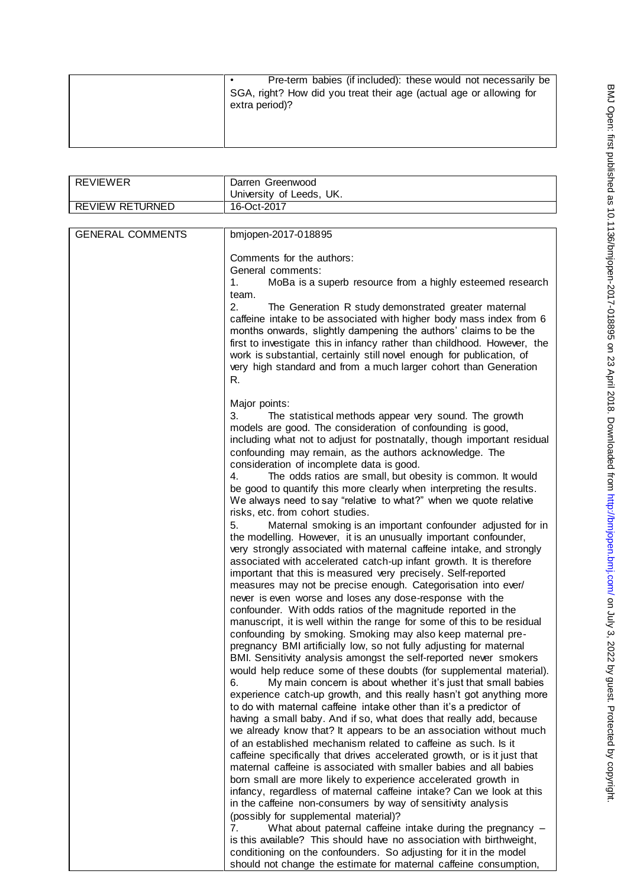| Pre-term babies (if included): these would not necessarily be<br>SGA, right? How did you treat their age (actual age or allowing for<br>extra period)? |
|--------------------------------------------------------------------------------------------------------------------------------------------------------|
|                                                                                                                                                        |

|                            | University of Leeds, UK.                                                                                                                                                                                                                                                                                                                                                                                                                                                                                                                                                                                                                                                                                                                                                                                                                                                                                                                                                                                                                                                                                                                                                                                                                                                                                                                                                                                                                                                                                                                                                                                                                                                                                                                                                                                                                                                                                                                                                                                                                                                                                                                                                                                                                                                                                                                                                                                                                                                                                                                                                                             |
|----------------------------|------------------------------------------------------------------------------------------------------------------------------------------------------------------------------------------------------------------------------------------------------------------------------------------------------------------------------------------------------------------------------------------------------------------------------------------------------------------------------------------------------------------------------------------------------------------------------------------------------------------------------------------------------------------------------------------------------------------------------------------------------------------------------------------------------------------------------------------------------------------------------------------------------------------------------------------------------------------------------------------------------------------------------------------------------------------------------------------------------------------------------------------------------------------------------------------------------------------------------------------------------------------------------------------------------------------------------------------------------------------------------------------------------------------------------------------------------------------------------------------------------------------------------------------------------------------------------------------------------------------------------------------------------------------------------------------------------------------------------------------------------------------------------------------------------------------------------------------------------------------------------------------------------------------------------------------------------------------------------------------------------------------------------------------------------------------------------------------------------------------------------------------------------------------------------------------------------------------------------------------------------------------------------------------------------------------------------------------------------------------------------------------------------------------------------------------------------------------------------------------------------------------------------------------------------------------------------------------------------|
| <b>REVIEW RETURNED</b>     | 16-Oct-2017                                                                                                                                                                                                                                                                                                                                                                                                                                                                                                                                                                                                                                                                                                                                                                                                                                                                                                                                                                                                                                                                                                                                                                                                                                                                                                                                                                                                                                                                                                                                                                                                                                                                                                                                                                                                                                                                                                                                                                                                                                                                                                                                                                                                                                                                                                                                                                                                                                                                                                                                                                                          |
|                            |                                                                                                                                                                                                                                                                                                                                                                                                                                                                                                                                                                                                                                                                                                                                                                                                                                                                                                                                                                                                                                                                                                                                                                                                                                                                                                                                                                                                                                                                                                                                                                                                                                                                                                                                                                                                                                                                                                                                                                                                                                                                                                                                                                                                                                                                                                                                                                                                                                                                                                                                                                                                      |
| <b>GENERAL COMMENTS</b>    | bmjopen-2017-018895                                                                                                                                                                                                                                                                                                                                                                                                                                                                                                                                                                                                                                                                                                                                                                                                                                                                                                                                                                                                                                                                                                                                                                                                                                                                                                                                                                                                                                                                                                                                                                                                                                                                                                                                                                                                                                                                                                                                                                                                                                                                                                                                                                                                                                                                                                                                                                                                                                                                                                                                                                                  |
| 1.<br>2.<br>R.             | Comments for the authors:<br>General comments:<br>MoBa is a superb resource from a highly esteemed research<br>team.<br>The Generation R study demonstrated greater maternal<br>caffeine intake to be associated with higher body mass index from 6<br>months onwards, slightly dampening the authors' claims to be the<br>first to investigate this in infancy rather than childhood. However, the<br>work is substantial, certainly still novel enough for publication, of<br>very high standard and from a much larger cohort than Generation                                                                                                                                                                                                                                                                                                                                                                                                                                                                                                                                                                                                                                                                                                                                                                                                                                                                                                                                                                                                                                                                                                                                                                                                                                                                                                                                                                                                                                                                                                                                                                                                                                                                                                                                                                                                                                                                                                                                                                                                                                                     |
| 3.<br>4.<br>5.<br>6.<br>7. | Major points:<br>The statistical methods appear very sound. The growth<br>models are good. The consideration of confounding is good,<br>including what not to adjust for postnatally, though important residual<br>confounding may remain, as the authors acknowledge. The<br>consideration of incomplete data is good.<br>The odds ratios are small, but obesity is common. It would<br>be good to quantify this more clearly when interpreting the results.<br>We always need to say "relative to what?" when we quote relative<br>risks, etc. from cohort studies.<br>Maternal smoking is an important confounder adjusted for in<br>the modelling. However, it is an unusually important confounder,<br>very strongly associated with maternal caffeine intake, and strongly<br>associated with accelerated catch-up infant growth. It is therefore<br>important that this is measured very precisely. Self-reported<br>measures may not be precise enough. Categorisation into ever/<br>never is even worse and loses any dose-response with the<br>confounder. With odds ratios of the magnitude reported in the<br>manuscript, it is well within the range for some of this to be residual<br>confounding by smoking. Smoking may also keep maternal pre-<br>pregnancy BMI artificially low, so not fully adjusting for maternal<br>BMI. Sensitivity analysis amongst the self-reported never smokers<br>would help reduce some of these doubts (for supplemental material).<br>My main concern is about whether it's just that small babies<br>experience catch-up growth, and this really hasn't got anything more<br>to do with maternal caffeine intake other than it's a predictor of<br>having a small baby. And if so, what does that really add, because<br>we already know that? It appears to be an association without much<br>of an established mechanism related to caffeine as such. Is it<br>caffeine specifically that drives accelerated growth, or is it just that<br>maternal caffeine is associated with smaller babies and all babies<br>born small are more likely to experience accelerated growth in<br>infancy, regardless of maternal caffeine intake? Can we look at this<br>in the caffeine non-consumers by way of sensitivity analysis<br>(possibly for supplemental material)?<br>What about paternal caffeine intake during the pregnancy -<br>is this available? This should have no association with birthweight,<br>conditioning on the confounders. So adjusting for it in the model<br>should not change the estimate for maternal caffeine consumption, |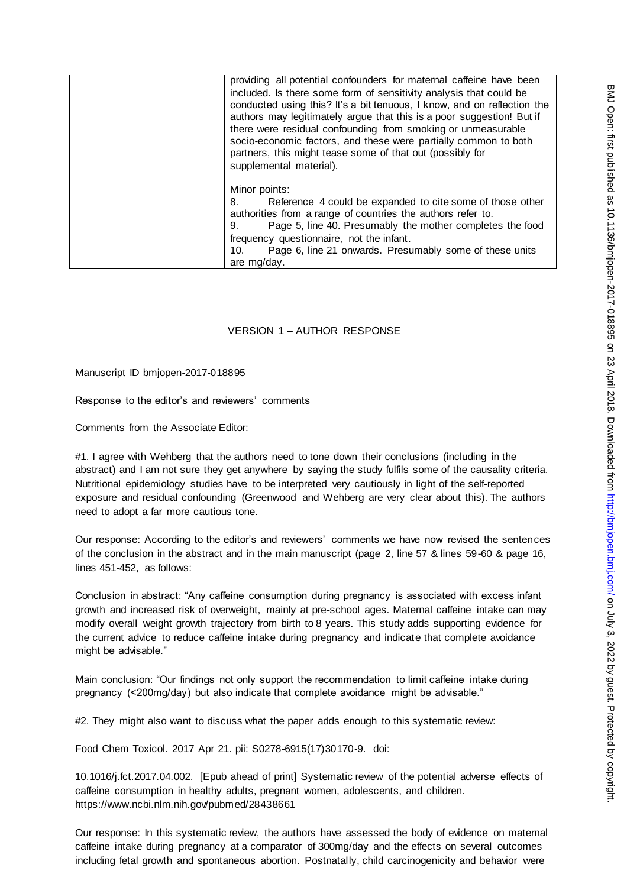| providing all potential confounders for maternal caffeine have been<br>included. Is there some form of sensitivity analysis that could be<br>conducted using this? It's a bit tenuous, I know, and on reflection the<br>authors may legitimately argue that this is a poor suggestion! But if<br>there were residual confounding from smoking or unmeasurable<br>socio-economic factors, and these were partially common to both<br>partners, this might tease some of that out (possibly for<br>supplemental material). |
|--------------------------------------------------------------------------------------------------------------------------------------------------------------------------------------------------------------------------------------------------------------------------------------------------------------------------------------------------------------------------------------------------------------------------------------------------------------------------------------------------------------------------|
| Minor points:<br>Reference 4 could be expanded to cite some of those other<br>8.<br>authorities from a range of countries the authors refer to.<br>Page 5, line 40. Presumably the mother completes the food<br>9.<br>frequency questionnaire, not the infant.<br>Page 6, line 21 onwards. Presumably some of these units<br>10.<br>are mg/day.                                                                                                                                                                          |

# VERSION 1 – AUTHOR RESPONSE

Manuscript ID bmjopen-2017-018895

Response to the editor's and reviewers' comments

Comments from the Associate Editor:

#1. I agree with Wehberg that the authors need to tone down their conclusions (including in the abstract) and I am not sure they get anywhere by saying the study fulfils some of the causality criteria. Nutritional epidemiology studies have to be interpreted very cautiously in light of the self-reported exposure and residual confounding (Greenwood and Wehberg are very clear about this). The authors need to adopt a far more cautious tone.

Our response: According to the editor's and reviewers' comments we have now revised the sentences of the conclusion in the abstract and in the main manuscript (page 2, line 57 & lines 59-60 & page 16, lines 451-452, as follows:

Conclusion in abstract: "Any caffeine consumption during pregnancy is associated with excess infant growth and increased risk of overweight, mainly at pre-school ages. Maternal caffeine intake can may modify overall weight growth trajectory from birth to 8 years. This study adds supporting evidence for the current advice to reduce caffeine intake during pregnancy and indicate that complete avoidance might be advisable."

Main conclusion: "Our findings not only support the recommendation to limit caffeine intake during pregnancy (<200mg/day) but also indicate that complete avoidance might be advisable."

#2. They might also want to discuss what the paper adds enough to this systematic review:

Food Chem Toxicol. 2017 Apr 21. pii: S0278-6915(17)30170-9. doi:

10.1016/j.fct.2017.04.002. [Epub ahead of print] Systematic review of the potential adverse effects of caffeine consumption in healthy adults, pregnant women, adolescents, and children. https://www.ncbi.nlm.nih.gov/pubmed/28438661

Our response: In this systematic review, the authors have assessed the body of evidence on maternal caffeine intake during pregnancy at a comparator of 300mg/day and the effects on several outcomes including fetal growth and spontaneous abortion. Postnatally, child carcinogenicity and behavior were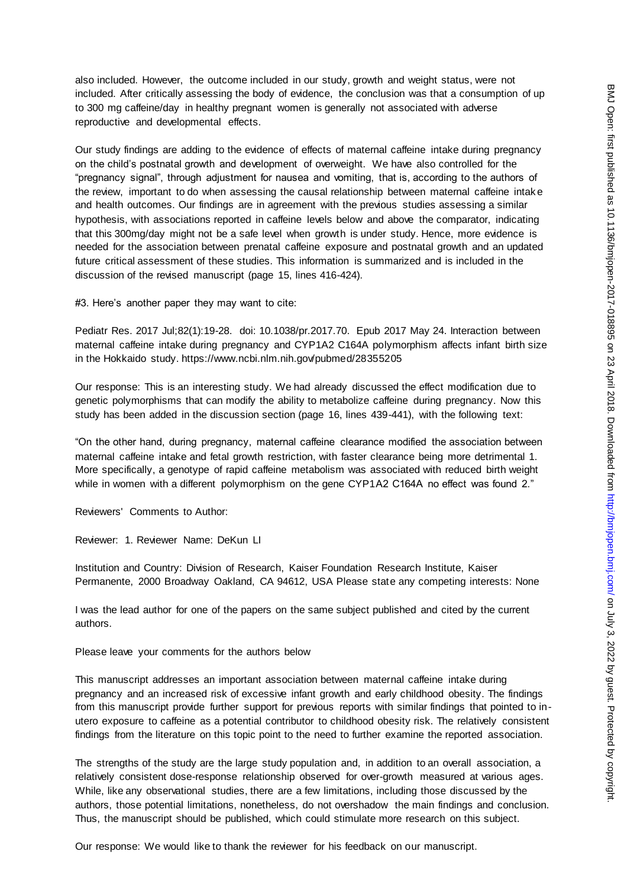also included. However, the outcome included in our study, growth and weight status, were not included. After critically assessing the body of evidence, the conclusion was that a consumption of up to 300 mg caffeine/day in healthy pregnant women is generally not associated with adverse reproductive and developmental effects.

Our study findings are adding to the evidence of effects of maternal caffeine intake during pregnancy on the child's postnatal growth and development of overweight. We have also controlled for the "pregnancy signal", through adjustment for nausea and vomiting, that is, according to the authors of the review, important to do when assessing the causal relationship between maternal caffeine intak e and health outcomes. Our findings are in agreement with the previous studies assessing a similar hypothesis, with associations reported in caffeine levels below and above the comparator, indicating that this 300mg/day might not be a safe level when growth is under study. Hence, more evidence is needed for the association between prenatal caffeine exposure and postnatal growth and an updated future critical assessment of these studies. This information is summarized and is included in the discussion of the revised manuscript (page 15, lines 416-424).

#3. Here's another paper they may want to cite:

Pediatr Res. 2017 Jul;82(1):19-28. doi: 10.1038/pr.2017.70. Epub 2017 May 24. Interaction between maternal caffeine intake during pregnancy and CYP1A2 C164A polymorphism affects infant birth size in the Hokkaido study. https://www.ncbi.nlm.nih.gov/pubmed/28355205

Our response: This is an interesting study. We had already discussed the effect modification due to genetic polymorphisms that can modify the ability to metabolize caffeine during pregnancy. Now this study has been added in the discussion section (page 16, lines 439-441), with the following text:

"On the other hand, during pregnancy, maternal caffeine clearance modified the association between maternal caffeine intake and fetal growth restriction, with faster clearance being more detrimental 1. More specifically, a genotype of rapid caffeine metabolism was associated with reduced birth weight while in women with a different polymorphism on the gene CYP1A2 C164A no effect was found 2."

Reviewers' Comments to Author:

Reviewer: 1. Reviewer Name: DeKun LI

Institution and Country: Division of Research, Kaiser Foundation Research Institute, Kaiser Permanente, 2000 Broadway Oakland, CA 94612, USA Please state any competing interests: None

I was the lead author for one of the papers on the same subject published and cited by the current authors.

Please leave your comments for the authors below

This manuscript addresses an important association between maternal caffeine intake during pregnancy and an increased risk of excessive infant growth and early childhood obesity. The findings from this manuscript provide further support for previous reports with similar findings that pointed to inutero exposure to caffeine as a potential contributor to childhood obesity risk. The relatively consistent findings from the literature on this topic point to the need to further examine the reported association.

The strengths of the study are the large study population and, in addition to an overall association, a relatively consistent dose-response relationship observed for over-growth measured at various ages. While, like any observational studies, there are a few limitations, including those discussed by the authors, those potential limitations, nonetheless, do not overshadow the main findings and conclusion. Thus, the manuscript should be published, which could stimulate more research on this subject.

Our response: We would like to thank the reviewer for his feedback on our manuscript.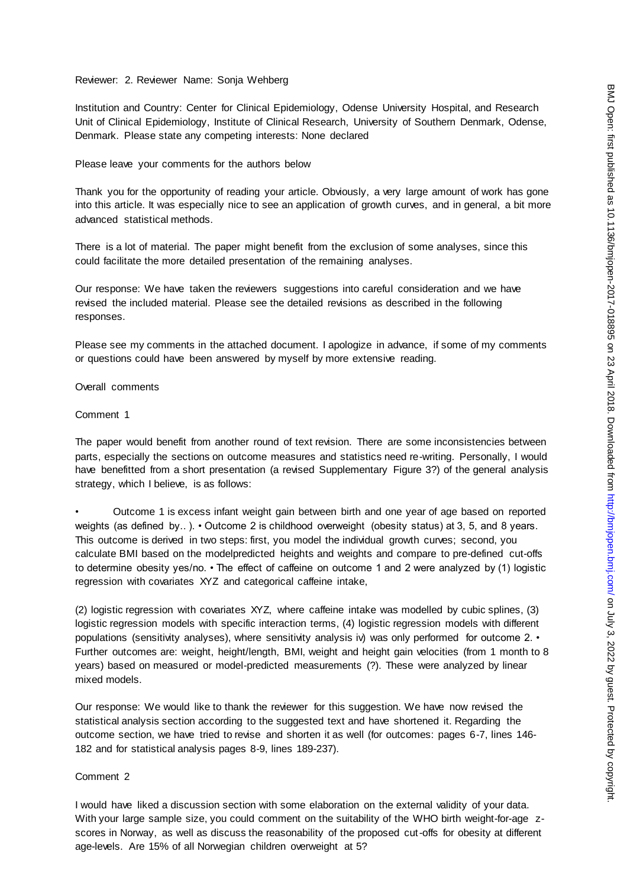## Reviewer: 2. Reviewer Name: Sonja Wehberg

Institution and Country: Center for Clinical Epidemiology, Odense University Hospital, and Research Unit of Clinical Epidemiology, Institute of Clinical Research, University of Southern Denmark, Odense, Denmark. Please state any competing interests: None declared

#### Please leave your comments for the authors below

Thank you for the opportunity of reading your article. Obviously, a very large amount of work has gone into this article. It was especially nice to see an application of growth curves, and in general, a bit more advanced statistical methods.

There is a lot of material. The paper might benefit from the exclusion of some analyses, since this could facilitate the more detailed presentation of the remaining analyses.

Our response: We have taken the reviewers suggestions into careful consideration and we have revised the included material. Please see the detailed revisions as described in the following responses.

Please see my comments in the attached document. I apologize in advance, if some of my comments or questions could have been answered by myself by more extensive reading.

#### Overall comments

#### Comment 1

The paper would benefit from another round of text revision. There are some inconsistencies between parts, especially the sections on outcome measures and statistics need re-writing. Personally, I would have benefitted from a short presentation (a revised Supplementary Figure 3?) of the general analysis strategy, which I believe, is as follows:

• Outcome 1 is excess infant weight gain between birth and one year of age based on reported weights (as defined by..). • Outcome 2 is childhood overweight (obesity status) at 3, 5, and 8 years. This outcome is derived in two steps: first, you model the individual growth curves; second, you calculate BMI based on the modelpredicted heights and weights and compare to pre-defined cut-offs to determine obesity yes/no. • The effect of caffeine on outcome 1 and 2 were analyzed by (1) logistic regression with covariates XYZ and categorical caffeine intake,

(2) logistic regression with covariates XYZ, where caffeine intake was modelled by cubic splines, (3) logistic regression models with specific interaction terms, (4) logistic regression models with different populations (sensitivity analyses), where sensitivity analysis iv) was only performed for outcome 2. • Further outcomes are: weight, height/length, BMI, weight and height gain velocities (from 1 month to 8 years) based on measured or model-predicted measurements (?). These were analyzed by linear mixed models.

Our response: We would like to thank the reviewer for this suggestion. We have now revised the statistical analysis section according to the suggested text and have shortened it. Regarding the outcome section, we have tried to revise and shorten it as well (for outcomes: pages 6-7, lines 146- 182 and for statistical analysis pages 8-9, lines 189-237).

## Comment 2

I would have liked a discussion section with some elaboration on the external validity of your data. With your large sample size, you could comment on the suitability of the WHO birth weight-for-age zscores in Norway, as well as discuss the reasonability of the proposed cut-offs for obesity at different age-levels. Are 15% of all Norwegian children overweight at 5?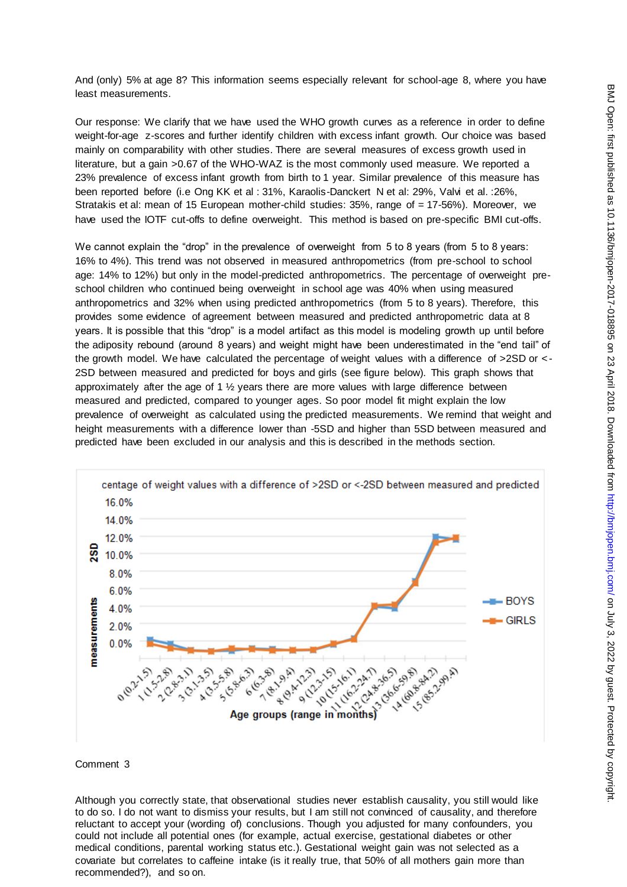And (only) 5% at age 8? This information seems especially relevant for school-age 8, where you have least measurements.

Our response: We clarify that we have used the WHO growth curves as a reference in order to define weight-for-age z-scores and further identify children with excess infant growth. Our choice was based mainly on comparability with other studies. There are several measures of excess growth used in literature, but a gain >0.67 of the WHO-WAZ is the most commonly used measure. We reported a 23% prevalence of excess infant growth from birth to 1 year. Similar prevalence of this measure has been reported before (i.e Ong KK et al : 31%, Karaolis-Danckert N et al: 29%, Valvi et al. :26%, Stratakis et al: mean of 15 European mother-child studies: 35%, range of = 17-56%). Moreover, we have used the IOTF cut-offs to define overweight. This method is based on pre-specific BMI cut-offs.

We cannot explain the "drop" in the prevalence of overweight from 5 to 8 years (from 5 to 8 years: 16% to 4%). This trend was not observed in measured anthropometrics (from pre-school to school age: 14% to 12%) but only in the model-predicted anthropometrics. The percentage of overweight preschool children who continued being overweight in school age was 40% when using measured anthropometrics and 32% when using predicted anthropometrics (from 5 to 8 years). Therefore, this provides some evidence of agreement between measured and predicted anthropometric data at 8 years. It is possible that this "drop" is a model artifact as this model is modeling growth up until before the adiposity rebound (around 8 years) and weight might have been underestimated in the "end tail" of the growth model. We have calculated the percentage of weight values with a difference of >2SD or < - 2SD between measured and predicted for boys and girls (see figure below). This graph shows that approximately after the age of 1  $\frac{1}{2}$  years there are more values with large difference between measured and predicted, compared to younger ages. So poor model fit might explain the low prevalence of overweight as calculated using the predicted measurements. We remind that weight and height measurements with a difference lower than -5SD and higher than 5SD between measured and predicted have been excluded in our analysis and this is described in the methods section.



## Comment 3

Although you correctly state, that observational studies never establish causality, you still would like to do so. I do not want to dismiss your results, but I am still not convinced of causality, and therefore reluctant to accept your (wording of) conclusions. Though you adjusted for many confounders, you could not include all potential ones (for example, actual exercise, gestational diabetes or other medical conditions, parental working status etc.). Gestational weight gain was not selected as a covariate but correlates to caffeine intake (is it really true, that 50% of all mothers gain more than recommended?), and so on.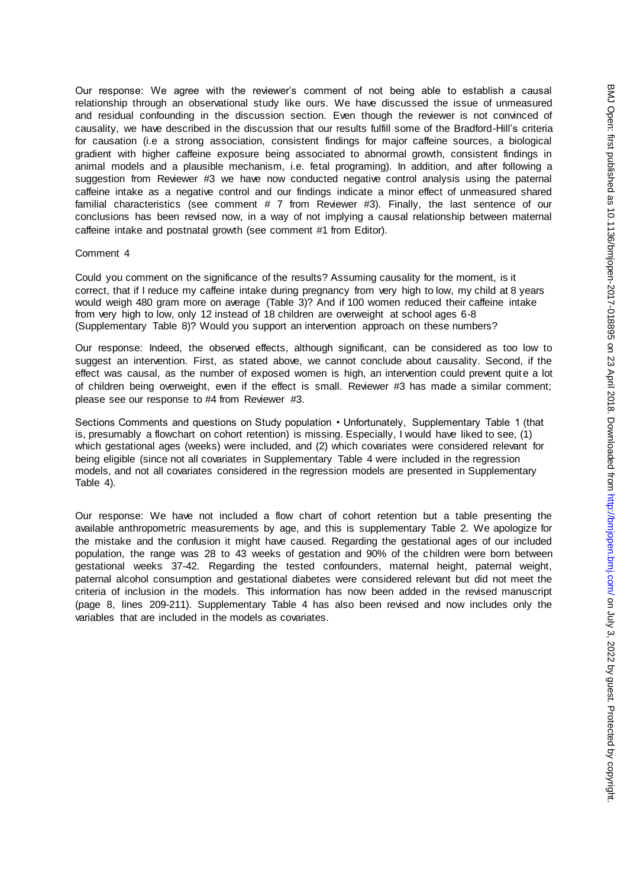Our response: We agree with the reviewer's comment of not being able to establish a causal relationship through an observational study like ours. We have discussed the issue of unmeasured and residual confounding in the discussion section. Even though the reviewer is not convinced of causality, we have described in the discussion that our results fulfill some of the Bradford-Hill's criteria for causation (i.e a strong association, consistent findings for major caffeine sources, a biological gradient with higher caffeine exposure being associated to abnormal growth, consistent findings in animal models and a plausible mechanism, i.e. fetal programing). In addition, and after following a suggestion from Reviewer #3 we have now conducted negative control analysis using the paternal caffeine intake as a negative control and our findings indicate a minor effect of unmeasured shared familial characteristics (see comment # 7 from Reviewer #3). Finally, the last sentence of our conclusions has been revised now, in a way of not implying a causal relationship between maternal caffeine intake and postnatal growth (see comment #1 from Editor).

#### Comment 4

Could you comment on the significance of the results? Assuming causality for the moment, is it correct, that if I reduce my caffeine intake during pregnancy from very high to low, my child at 8 years would weigh 480 gram more on average (Table 3)? And if 100 women reduced their caffeine intake from very high to low, only 12 instead of 18 children are overweight at school ages 6-8 (Supplementary Table 8)? Would you support an intervention approach on these numbers?

Our response: Indeed, the observed effects, although significant, can be considered as too low to suggest an intervention. First, as stated above, we cannot conclude about causality. Second, if the effect was causal, as the number of exposed women is high, an intervention could prevent quite a lot of children being overweight, even if the effect is small. Reviewer #3 has made a similar comment; please see our response to #4 from Reviewer #3.

Sections Comments and questions on Study population • Unfortunately, Supplementary Table 1 (that is, presumably a flowchart on cohort retention) is missing. Especially, I would have liked to see, (1) which gestational ages (weeks) were included, and (2) which covariates were considered relevant for being eligible (since not all covariates in Supplementary Table 4 were included in the regression models, and not all covariates considered in the regression models are presented in Supplementary Table 4).

Our response: We have not included a flow chart of cohort retention but a table presenting the available anthropometric measurements by age, and this is supplementary Table 2. We apologize for the mistake and the confusion it might have caused. Regarding the gestational ages of our included population, the range was 28 to 43 weeks of gestation and 90% of the children were born between gestational weeks 37-42. Regarding the tested confounders, maternal height, paternal weight, paternal alcohol consumption and gestational diabetes were considered relevant but did not meet the criteria of inclusion in the models. This information has now been added in the revised manuscript (page 8, lines 209-211). Supplementary Table 4 has also been revised and now includes only the variables that are included in the models as covariates.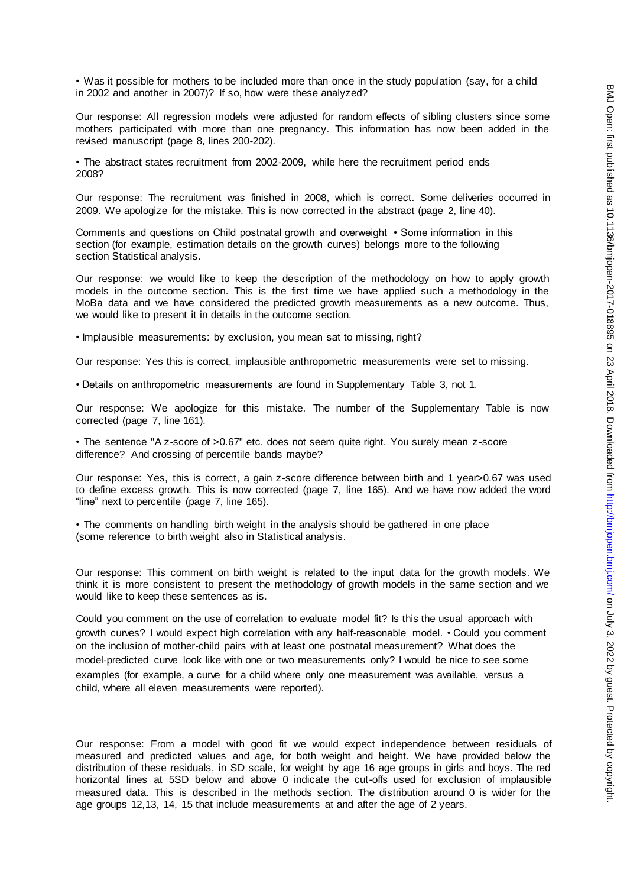• Was it possible for mothers to be included more than once in the study population (say, for a child in 2002 and another in 2007)? If so, how were these analyzed?

Our response: All regression models were adjusted for random effects of sibling clusters since some mothers participated with more than one pregnancy. This information has now been added in the revised manuscript (page 8, lines 200-202).

• The abstract states recruitment from 2002-2009, while here the recruitment period ends 2008?

Our response: The recruitment was finished in 2008, which is correct. Some deliveries occurred in 2009. We apologize for the mistake. This is now corrected in the abstract (page 2, line 40).

Comments and questions on Child postnatal growth and overweight • Some information in this section (for example, estimation details on the growth curves) belongs more to the following section Statistical analysis.

Our response: we would like to keep the description of the methodology on how to apply growth models in the outcome section. This is the first time we have applied such a methodology in the MoBa data and we have considered the predicted growth measurements as a new outcome. Thus, we would like to present it in details in the outcome section.

• Implausible measurements: by exclusion, you mean sat to missing, right?

Our response: Yes this is correct, implausible anthropometric measurements were set to missing.

• Details on anthropometric measurements are found in Supplementary Table 3, not 1.

Our response: We apologize for this mistake. The number of the Supplementary Table is now corrected (page 7, line 161).

• The sentence "A z-score of >0.67" etc. does not seem quite right. You surely mean z-score difference? And crossing of percentile bands maybe?

Our response: Yes, this is correct, a gain z-score difference between birth and 1 year>0.67 was used to define excess growth. This is now corrected (page 7, line 165). And we have now added the word "line" next to percentile (page 7, line 165).

• The comments on handling birth weight in the analysis should be gathered in one place (some reference to birth weight also in Statistical analysis.

Our response: This comment on birth weight is related to the input data for the growth models. We think it is more consistent to present the methodology of growth models in the same section and we would like to keep these sentences as is.

Could you comment on the use of correlation to evaluate model fit? Is this the usual approach with growth curves? I would expect high correlation with any half-reasonable model. • Could you comment on the inclusion of mother-child pairs with at least one postnatal measurement? What does the model-predicted curve look like with one or two measurements only? I would be nice to see some examples (for example, a curve for a child where only one measurement was available, versus a child, where all eleven measurements were reported).

Our response: From a model with good fit we would expect independence between residuals of measured and predicted values and age, for both weight and height. We have provided below the distribution of these residuals, in SD scale, for weight by age 16 age groups in girls and boys. The red horizontal lines at 5SD below and above 0 indicate the cut-offs used for exclusion of implausible measured data. This is described in the methods section. The distribution around 0 is wider for the age groups 12,13, 14, 15 that include measurements at and after the age of 2 years.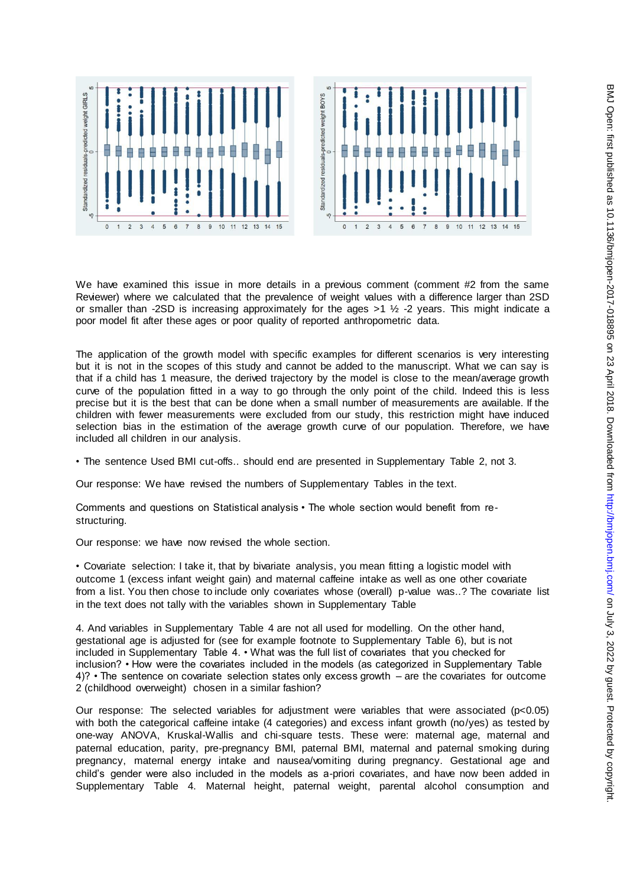





We have examined this issue in more details in a previous comment (comment #2 from the same Reviewer) where we calculated that the prevalence of weight values with a difference larger than 2SD or smaller than -2SD is increasing approximately for the ages >1 ½ -2 years. This might indicate a poor model fit after these ages or poor quality of reported anthropometric data.

The application of the growth model with specific examples for different scenarios is very interesting but it is not in the scopes of this study and cannot be added to the manuscript. What we can say is that if a child has 1 measure, the derived trajectory by the model is close to the mean/average growth curve of the population fitted in a way to go through the only point of the child. Indeed this is less precise but it is the best that can be done when a small number of measurements are available. If the children with fewer measurements were excluded from our study, this restriction might have induced selection bias in the estimation of the average growth curve of our population. Therefore, we have included all children in our analysis.

• The sentence Used BMI cut-offs.. should end are presented in Supplementary Table 2, not 3.

Our response: We have revised the numbers of Supplementary Tables in the text.

Comments and questions on Statistical analysis • The whole section would benefit from restructuring.

Our response: we have now revised the whole section.

• Covariate selection: I take it, that by bivariate analysis, you mean fitting a logistic model with outcome 1 (excess infant weight gain) and maternal caffeine intake as well as one other covariate from a list. You then chose to include only covariates whose (overall) p-value was..? The covariate list in the text does not tally with the variables shown in Supplementary Table

4. And variables in Supplementary Table 4 are not all used for modelling. On the other hand, gestational age is adjusted for (see for example footnote to Supplementary Table 6), but is not included in Supplementary Table 4. • What was the full list of covariates that you checked for inclusion? • How were the covariates included in the models (as categorized in Supplementary Table 4)? • The sentence on covariate selection states only excess growth – are the covariates for outcome 2 (childhood overweight) chosen in a similar fashion?

Our response: The selected variables for adjustment were variables that were associated ( $p<0.05$ ) with both the categorical caffeine intake (4 categories) and excess infant growth (no/yes) as tested by one-way ANOVA, Kruskal-Wallis and chi-square tests. These were: maternal age, maternal and paternal education, parity, pre-pregnancy BMI, paternal BMI, maternal and paternal smoking during pregnancy, maternal energy intake and nausea/vomiting during pregnancy. Gestational age and child's gender were also included in the models as a-priori covariates, and have now been added in Supplementary Table 4. Maternal height, paternal weight, parental alcohol consumption and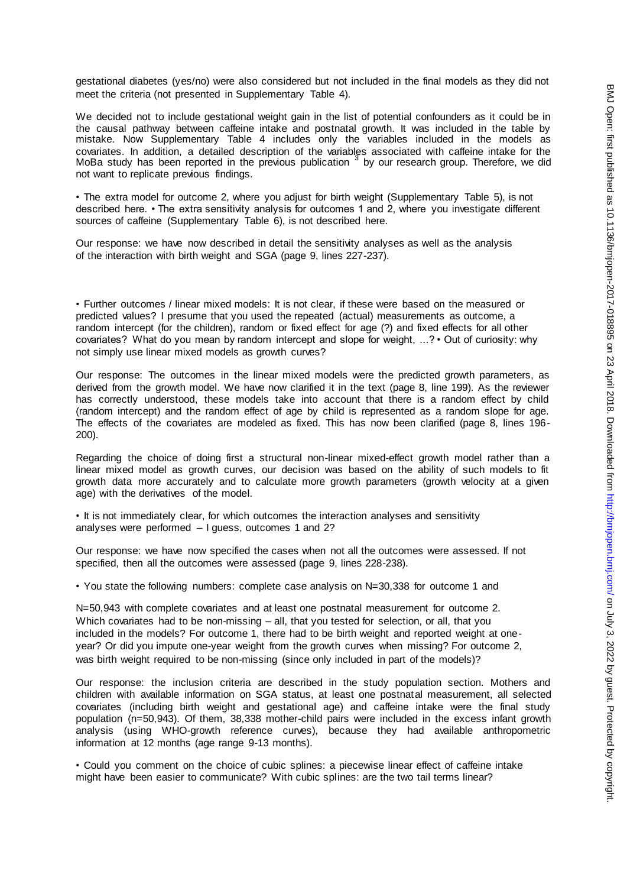gestational diabetes (yes/no) were also considered but not included in the final models as they did not meet the criteria (not presented in Supplementary Table 4).

We decided not to include gestational weight gain in the list of potential confounders as it could be in the causal pathway between caffeine intake and postnatal growth. It was included in the table by mistake. Now Supplementary Table 4 includes only the variables included in the models as covariates. In addition, a detailed description of the variables associated with caffeine intake for the MoBa study has been reported in the previous publication <sup>3</sup> by our research group. Therefore, we did not want to replicate previous findings.

• The extra model for outcome 2, where you adjust for birth weight (Supplementary Table 5), is not described here. • The extra sensitivity analysis for outcomes 1 and 2, where you investigate different sources of caffeine (Supplementary Table 6), is not described here.

Our response: we have now described in detail the sensitivity analyses as well as the analysis of the interaction with birth weight and SGA (page 9, lines 227-237).

• Further outcomes / linear mixed models: It is not clear, if these were based on the measured or predicted values? I presume that you used the repeated (actual) measurements as outcome, a random intercept (for the children), random or fixed effect for age (?) and fixed effects for all other covariates? What do you mean by random intercept and slope for weight, ...? • Out of curiosity: why not simply use linear mixed models as growth curves?

Our response: The outcomes in the linear mixed models were the predicted growth parameters, as derived from the growth model. We have now clarified it in the text (page 8, line 199). As the reviewer has correctly understood, these models take into account that there is a random effect by child (random intercept) and the random effect of age by child is represented as a random slope for age. The effects of the covariates are modeled as fixed. This has now been clarified (page 8, lines 196- 200).

Regarding the choice of doing first a structural non-linear mixed-effect growth model rather than a linear mixed model as growth curves, our decision was based on the ability of such models to fit growth data more accurately and to calculate more growth parameters (growth velocity at a given age) with the derivatives of the model.

• It is not immediately clear, for which outcomes the interaction analyses and sensitivity analyses were performed – I guess, outcomes 1 and 2?

Our response: we have now specified the cases when not all the outcomes were assessed. If not specified, then all the outcomes were assessed (page 9, lines 228-238).

• You state the following numbers: complete case analysis on N=30,338 for outcome 1 and

N=50,943 with complete covariates and at least one postnatal measurement for outcome 2. Which covariates had to be non-missing – all, that you tested for selection, or all, that you included in the models? For outcome 1, there had to be birth weight and reported weight at oneyear? Or did you impute one-year weight from the growth curves when missing? For outcome 2, was birth weight required to be non-missing (since only included in part of the models)?

Our response: the inclusion criteria are described in the study population section. Mothers and children with available information on SGA status, at least one postnatal measurement, all selected covariates (including birth weight and gestational age) and caffeine intake were the final study population (n=50,943). Of them, 38,338 mother-child pairs were included in the excess infant growth analysis (using WHO-growth reference curves), because they had available anthropometric information at 12 months (age range 9-13 months).

• Could you comment on the choice of cubic splines: a piecewise linear effect of caffeine intake might have been easier to communicate? With cubic splines: are the two tail terms linear?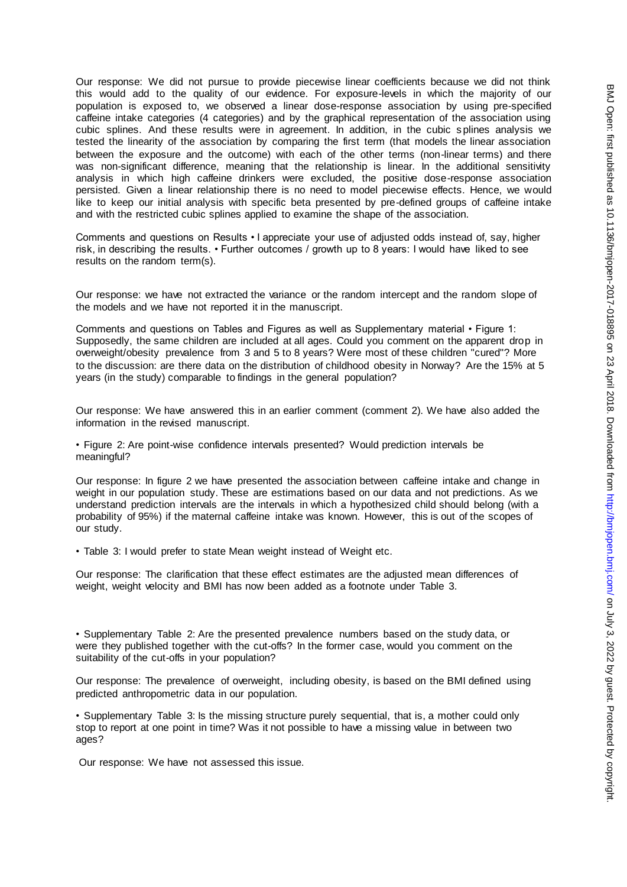Our response: We did not pursue to provide piecewise linear coefficients because we did not think this would add to the quality of our evidence. For exposure-levels in which the majority of our population is exposed to, we observed a linear dose-response association by using pre-specified caffeine intake categories (4 categories) and by the graphical representation of the association using cubic splines. And these results were in agreement. In addition, in the cubic s plines analysis we tested the linearity of the association by comparing the first term (that models the linear association between the exposure and the outcome) with each of the other terms (non-linear terms) and there was non-significant difference, meaning that the relationship is linear. In the additional sensitivity analysis in which high caffeine drinkers were excluded, the positive dose-response association persisted. Given a linear relationship there is no need to model piecewise effects. Hence, we would like to keep our initial analysis with specific beta presented by pre-defined groups of caffeine intake and with the restricted cubic splines applied to examine the shape of the association.

Comments and questions on Results • I appreciate your use of adjusted odds instead of, say, higher risk, in describing the results. • Further outcomes / growth up to 8 years: I would have liked to see results on the random term(s).

Our response: we have not extracted the variance or the random intercept and the random slope of the models and we have not reported it in the manuscript.

Comments and questions on Tables and Figures as well as Supplementary material • Figure 1: Supposedly, the same children are included at all ages. Could you comment on the apparent drop in overweight/obesity prevalence from 3 and 5 to 8 years? Were most of these children "cured"? More to the discussion: are there data on the distribution of childhood obesity in Norway? Are the 15% at 5 years (in the study) comparable to findings in the general population?

Our response: We have answered this in an earlier comment (comment 2). We have also added the information in the revised manuscript.

• Figure 2: Are point-wise confidence intervals presented? Would prediction intervals be meaningful?

Our response: In figure 2 we have presented the association between caffeine intake and change in weight in our population study. These are estimations based on our data and not predictions. As we understand prediction intervals are the intervals in which a hypothesized child should belong (with a probability of 95%) if the maternal caffeine intake was known. However, this is out of the scopes of our study.

• Table 3: I would prefer to state Mean weight instead of Weight etc.

Our response: The clarification that these effect estimates are the adjusted mean differences of weight, weight velocity and BMI has now been added as a footnote under Table 3.

• Supplementary Table 2: Are the presented prevalence numbers based on the study data, or were they published together with the cut-offs? In the former case, would you comment on the suitability of the cut-offs in your population?

Our response: The prevalence of overweight, including obesity, is based on the BMI defined using predicted anthropometric data in our population.

• Supplementary Table 3: Is the missing structure purely sequential, that is, a mother could only stop to report at one point in time? Was it not possible to have a missing value in between two ages?

Our response: We have not assessed this issue.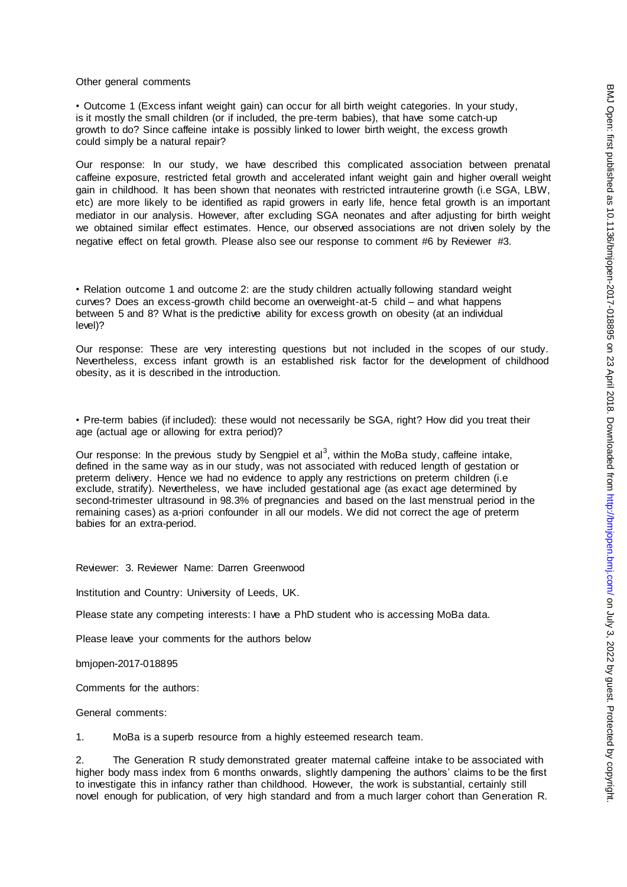#### Other general comments

• Outcome 1 (Excess infant weight gain) can occur for all birth weight categories. In your study, is it mostly the small children (or if included, the pre-term babies), that have some catch-up growth to do? Since caffeine intake is possibly linked to lower birth weight, the excess growth could simply be a natural repair?

Our response: In our study, we have described this complicated association between prenatal caffeine exposure, restricted fetal growth and accelerated infant weight gain and higher overall weight gain in childhood. It has been shown that neonates with restricted intrauterine growth (i.e SGA, LBW, etc) are more likely to be identified as rapid growers in early life, hence fetal growth is an important mediator in our analysis. However, after excluding SGA neonates and after adjusting for birth weight we obtained similar effect estimates. Hence, our observed associations are not driven solely by the negative effect on fetal growth. Please also see our response to comment #6 by Reviewer #3.

• Relation outcome 1 and outcome 2: are the study children actually following standard weight curves? Does an excess-growth child become an overweight-at-5 child – and what happens between 5 and 8? What is the predictive ability for excess growth on obesity (at an individual level)?

Our response: These are very interesting questions but not included in the scopes of our study. Nevertheless, excess infant growth is an established risk factor for the development of childhood obesity, as it is described in the introduction.

• Pre-term babies (if included): these would not necessarily be SGA, right? How did you treat their age (actual age or allowing for extra period)?

Our response: In the previous study by Sengpiel et al<sup>3</sup>, within the MoBa study, caffeine intake, defined in the same way as in our study, was not associated with reduced length of gestation or preterm delivery. Hence we had no evidence to apply any restrictions on preterm children (i.e exclude, stratify). Nevertheless, we have included gestational age (as exact age determined by second-trimester ultrasound in 98.3% of pregnancies and based on the last menstrual period in the remaining cases) as a-priori confounder in all our models. We did not correct the age of preterm babies for an extra-period.

Reviewer: 3. Reviewer Name: Darren Greenwood

Institution and Country: University of Leeds, UK.

Please state any competing interests: I have a PhD student who is accessing MoBa data.

Please leave your comments for the authors below

bmjopen-2017-018895

Comments for the authors:

General comments:

1. MoBa is a superb resource from a highly esteemed research team.

2. The Generation R study demonstrated greater maternal caffeine intake to be associated with higher body mass index from 6 months onwards, slightly dampening the authors' claims to be the first to investigate this in infancy rather than childhood. However, the work is substantial, certainly still novel enough for publication, of very high standard and from a much larger cohort than Generation R.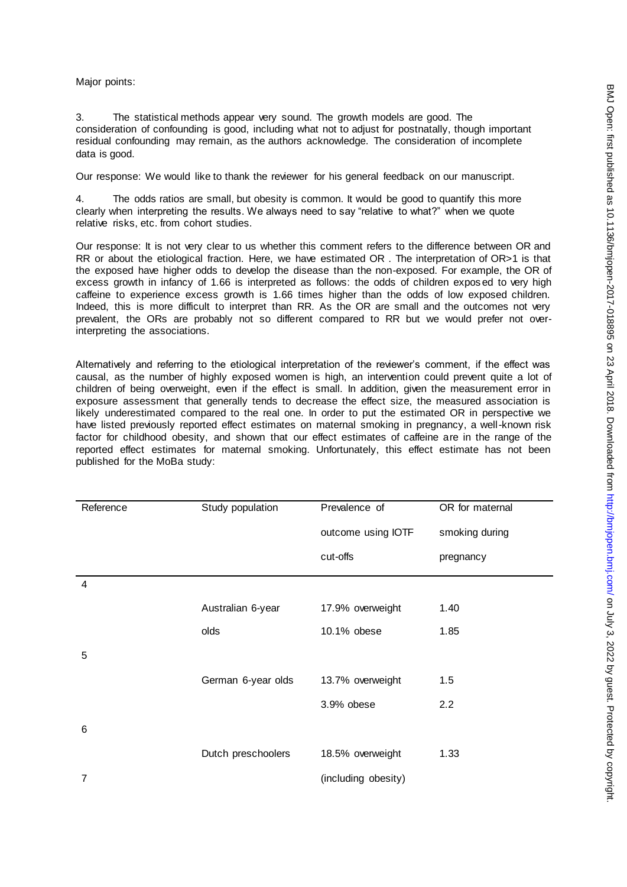Major points:

3. The statistical methods appear very sound. The growth models are good. The consideration of confounding is good, including what not to adjust for postnatally, though important residual confounding may remain, as the authors acknowledge. The consideration of incomplete data is good.

Our response: We would like to thank the reviewer for his general feedback on our manuscript.

4. The odds ratios are small, but obesity is common. It would be good to quantify this more clearly when interpreting the results. We always need to say "relative to what?" when we quote relative risks, etc. from cohort studies.

Our response: It is not very clear to us whether this comment refers to the difference between OR and RR or about the etiological fraction. Here, we have estimated OR . The interpretation of OR>1 is that the exposed have higher odds to develop the disease than the non-exposed. For example, the OR of excess growth in infancy of 1.66 is interpreted as follows: the odds of children exposed to very high caffeine to experience excess growth is 1.66 times higher than the odds of low exposed children. Indeed, this is more difficult to interpret than RR. As the OR are small and the outcomes not very prevalent, the ORs are probably not so different compared to RR but we would prefer not overinterpreting the associations.

Alternatively and referring to the etiological interpretation of the reviewer's comment, if the effect was causal, as the number of highly exposed women is high, an intervention could prevent quite a lot of children of being overweight, even if the effect is small. In addition, given the measurement error in exposure assessment that generally tends to decrease the effect size, the measured association is likely underestimated compared to the real one. In order to put the estimated OR in perspective we have listed previously reported effect estimates on maternal smoking in pregnancy, a well-known risk factor for childhood obesity, and shown that our effect estimates of caffeine are in the range of the reported effect estimates for maternal smoking. Unfortunately, this effect estimate has not been published for the MoBa study:

| Reference | Study population   | Prevalence of       | OR for maternal |
|-----------|--------------------|---------------------|-----------------|
|           |                    | outcome using IOTF  | smoking during  |
|           |                    | cut-offs            | pregnancy       |
| 4         |                    |                     |                 |
|           | Australian 6-year  | 17.9% overweight    | 1.40            |
|           | olds               | 10.1% obese         | 1.85            |
| 5         |                    |                     |                 |
|           | German 6-year olds | 13.7% overweight    | 1.5             |
|           |                    | 3.9% obese          | 2.2             |
| 6         |                    |                     |                 |
|           | Dutch preschoolers | 18.5% overweight    | 1.33            |
| 7         |                    | (including obesity) |                 |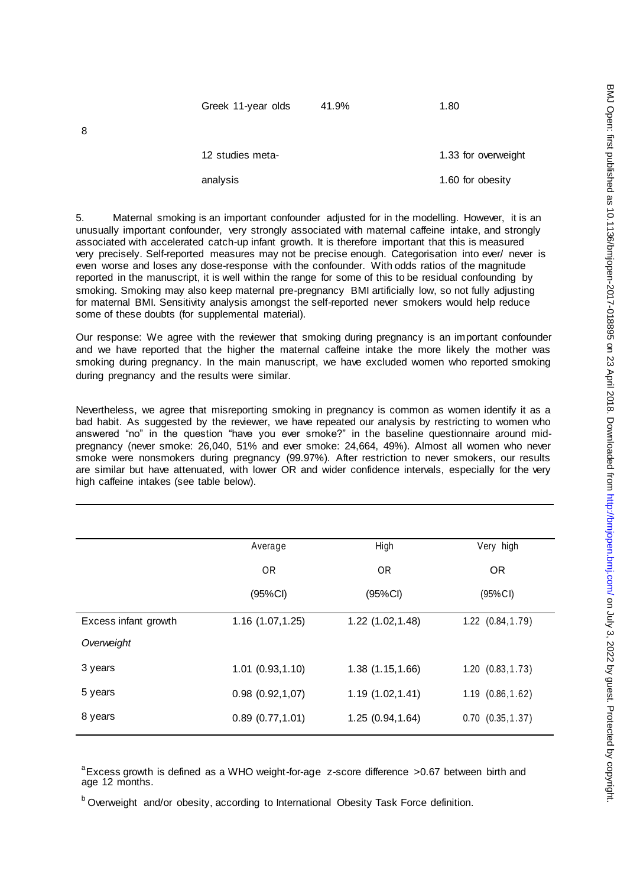| Greek 11-year olds | 41.9% | 1.80                |
|--------------------|-------|---------------------|
|                    |       |                     |
| 12 studies meta-   |       | 1.33 for overweight |

analysis analysis analysis analysis analysis analysis analysis analysis analysis analysis analysis analysis analysis analysis analysis analysis analysis analysis analysis analysis analysis analysis analysis analysis analys

5. Maternal smoking is an important confounder adjusted for in the modelling. However, it is an unusually important confounder, very strongly associated with maternal caffeine intake, and strongly associated with accelerated catch-up infant growth. It is therefore important that this is measured very precisely. Self-reported measures may not be precise enough. Categorisation into ever/ never is even worse and loses any dose-response with the confounder. With odds ratios of the magnitude reported in the manuscript, it is well within the range for some of this to be residual confounding by smoking. Smoking may also keep maternal pre-pregnancy BMI artificially low, so not fully adjusting for maternal BMI. Sensitivity analysis amongst the self-reported never smokers would help reduce some of these doubts (for supplemental material).

Our response: We agree with the reviewer that smoking during pregnancy is an important confounder and we have reported that the higher the maternal caffeine intake the more likely the mother was smoking during pregnancy. In the main manuscript, we have excluded women who reported smoking during pregnancy and the results were similar.

Nevertheless, we agree that misreporting smoking in pregnancy is common as women identify it as a bad habit. As suggested by the reviewer, we have repeated our analysis by restricting to women who answered "no" in the question "have you ever smoke?" in the baseline questionnaire around midpregnancy (never smoke: 26,040, 51% and ever smoke: 24,664, 49%). Almost all women who never smoke were nonsmokers during pregnancy (99.97%). After restriction to never smokers, our results are similar but have attenuated, with lower OR and wider confidence intervals, especially for the very high caffeine intakes (see table below).

|                      | Average          | High             | Very high             |
|----------------------|------------------|------------------|-----------------------|
|                      | 0 <sub>R</sub>   | <b>OR</b>        | <b>OR</b>             |
|                      | (95%Cl)          | (95%CI)          | (95% CI)              |
| Excess infant growth | 1.16(1.07, 1.25) | 1.22(1.02, 1.48) | $1.22$ $(0.84, 1.79)$ |
| Overweight           |                  |                  |                       |
| 3 years              | 1.01(0.93, 1.10) | 1.38(1.15, 1.66) | 1.20(0.83, 1.73)      |
| 5 years              | 0.98(0.92,1,07)  | 1.19(1.02, 1.41) | 1.19(0.86, 1.62)      |
| 8 years              | 0.89(0.77, 1.01) | 1.25(0.94, 1.64) | $0.70$ $(0.35, 1.37)$ |
|                      |                  |                  |                       |

<sup>a</sup> Excess growth is defined as a WHO weight-for-age z-score difference >0.67 between birth and age 12 months.

<sup>b</sup> Overweight and/or obesity, according to International Obesity Task Force definition.

8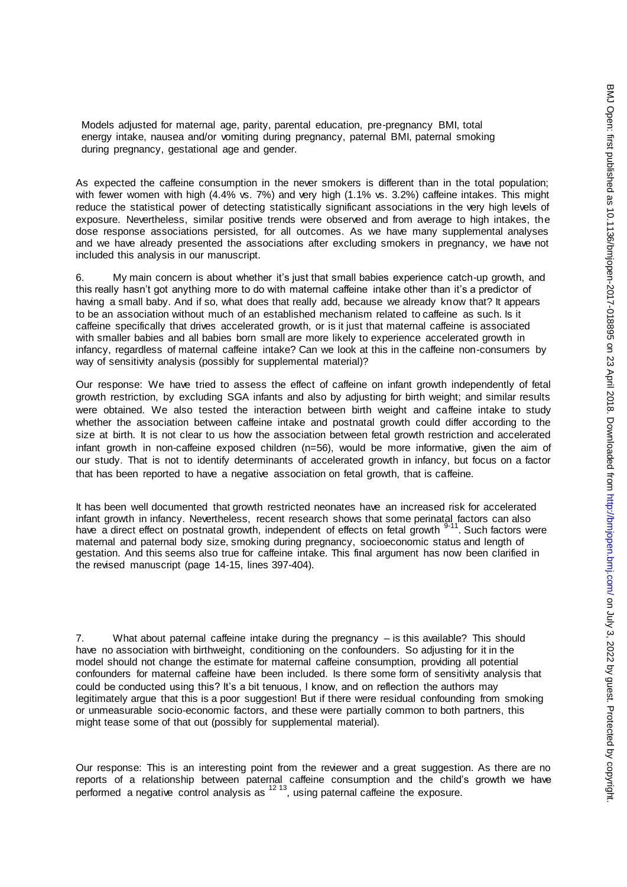Models adjusted for maternal age, parity, parental education, pre-pregnancy BMI, total energy intake, nausea and/or vomiting during pregnancy, paternal BMI, paternal smoking during pregnancy, gestational age and gender.

As expected the caffeine consumption in the never smokers is different than in the total population; with fewer women with high (4.4% vs. 7%) and very high (1.1% vs. 3.2%) caffeine intakes. This might reduce the statistical power of detecting statistically significant associations in the very high levels of exposure. Nevertheless, similar positive trends were observed and from average to high intakes, the dose response associations persisted, for all outcomes. As we have many supplemental analyses and we have already presented the associations after excluding smokers in pregnancy, we have not included this analysis in our manuscript.

6. My main concern is about whether it's just that small babies experience catch-up growth, and this really hasn't got anything more to do with maternal caffeine intake other than it's a predictor of having a small baby. And if so, what does that really add, because we already know that? It appears to be an association without much of an established mechanism related to caffeine as such. Is it caffeine specifically that drives accelerated growth, or is it just that maternal caffeine is associated with smaller babies and all babies born small are more likely to experience accelerated growth in infancy, regardless of maternal caffeine intake? Can we look at this in the caffeine non-consumers by way of sensitivity analysis (possibly for supplemental material)?

Our response: We have tried to assess the effect of caffeine on infant growth independently of fetal growth restriction, by excluding SGA infants and also by adjusting for birth weight; and similar results were obtained. We also tested the interaction between birth weight and caffeine intake to study whether the association between caffeine intake and postnatal growth could differ according to the size at birth. It is not clear to us how the association between fetal growth restriction and accelerated infant growth in non-caffeine exposed children (n=56), would be more informative, given the aim of our study. That is not to identify determinants of accelerated growth in infancy, but focus on a factor that has been reported to have a negative association on fetal growth, that is caffeine.

It has been well documented that growth restricted neonates have an increased risk for accelerated infant growth in infancy. Nevertheless, recent research shows that some perinatal factors can also have a direct effect on postnatal growth, independent of effects on fetal growth  $9-11$ . Such factors were maternal and paternal body size, smoking during pregnancy, socioeconomic status and length of gestation. And this seems also true for caffeine intake. This final argument has now been clarified in the revised manuscript (page 14-15, lines 397-404).

7. What about paternal caffeine intake during the pregnancy – is this available? This should have no association with birthweight, conditioning on the confounders. So adjusting for it in the model should not change the estimate for maternal caffeine consumption, providing all potential confounders for maternal caffeine have been included. Is there some form of sensitivity analysis that could be conducted using this? It's a bit tenuous, I know, and on reflection the authors may legitimately argue that this is a poor suggestion! But if there were residual confounding from smoking or unmeasurable socio-economic factors, and these were partially common to both partners, this might tease some of that out (possibly for supplemental material).

Our response: This is an interesting point from the reviewer and a great suggestion. As there are no reports of a relationship between paternal caffeine consumption and the child's growth we have performed a negative control analysis as 12 13, using paternal caffeine the exposure.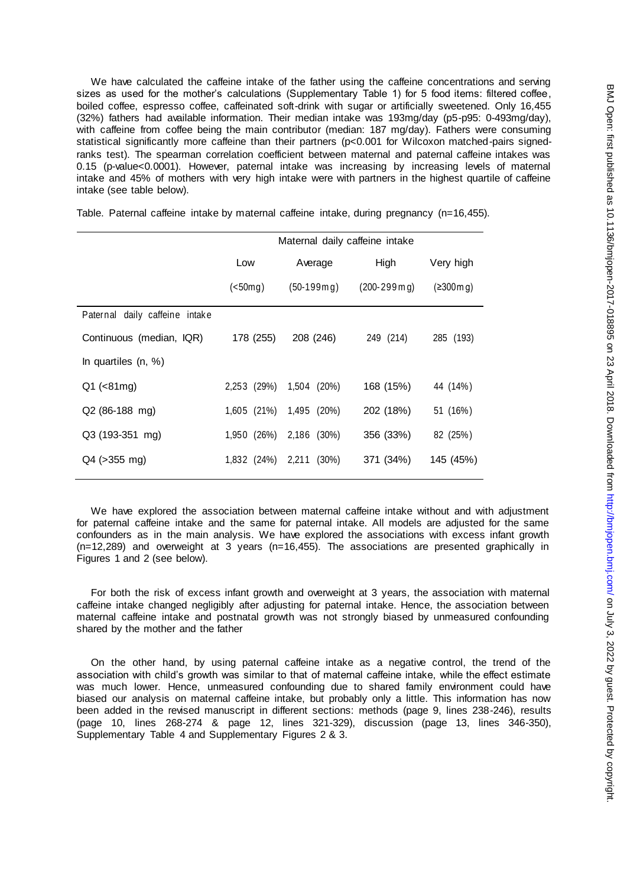We have calculated the caffeine intake of the father using the caffeine concentrations and serving sizes as used for the mother's calculations (Supplementary Table 1) for 5 food items: filtered coffee, boiled coffee, espresso coffee, caffeinated soft-drink with sugar or artificially sweetened. Only 16,455 (32%) fathers had available information. Their median intake was 193mg/day (p5-p95: 0-493mg/day), with caffeine from coffee being the main contributor (median: 187 mg/day). Fathers were consuming statistical significantly more caffeine than their partners (p<0.001 for Wilcoxon matched-pairs signedranks test). The spearman correlation coefficient between maternal and paternal caffeine intakes was 0.15 (p-value<0.0001). However, paternal intake was increasing by increasing levels of maternal intake and 45% of mothers with very high intake were with partners in the highest quartile of caffeine intake (see table below).

Table. Paternal caffeine intake by maternal caffeine intake, during pregnancy (n=16,455).

|                                | Maternal daily caffeine intake |                   |                                        |           |
|--------------------------------|--------------------------------|-------------------|----------------------------------------|-----------|
|                                | Low                            | Average           | High                                   | Very high |
|                                | $(50mg)$                       | $(50-199m)$       | $(200 - 299 \,\mathrm{m}\,\mathrm{g})$ | (2300m)   |
| Paternal daily caffeine intake |                                |                   |                                        |           |
| Continuous (median, IQR)       | 178 (255)                      | 208 (246)         | 249 (214)                              | 285 (193) |
| In quartiles $(n, %)$          |                                |                   |                                        |           |
| $Q1$ (<81mg)                   | 2,253 (29%)                    | 1,504 (20%)       | 168 (15%)                              | 44 (14%)  |
| Q2 (86-188 mg)                 | 1,605 (21%)                    | 1,495 (20%)       | 202 (18%)                              | 51 (16%)  |
| Q3 (193-351 mg)                | 1,950 (26%)                    | 2,186 (30%)       | 356 (33%)                              | 82 (25%)  |
| Q4 (> 355 mg)                  | 1,832 (24%)                    | 2,211<br>$(30\%)$ | 371 (34%)                              | 145 (45%) |

We have explored the association between maternal caffeine intake without and with adjustment for paternal caffeine intake and the same for paternal intake. All models are adjusted for the same confounders as in the main analysis. We have explored the associations with excess infant growth (n=12,289) and overweight at 3 years (n=16,455). The associations are presented graphically in Figures 1 and 2 (see below).

For both the risk of excess infant growth and overweight at 3 years, the association with maternal caffeine intake changed negligibly after adjusting for paternal intake. Hence, the association between maternal caffeine intake and postnatal growth was not strongly biased by unmeasured confounding shared by the mother and the father

On the other hand, by using paternal caffeine intake as a negative control, the trend of the association with child's growth was similar to that of maternal caffeine intake, while the effect estimate was much lower. Hence, unmeasured confounding due to shared family environment could have biased our analysis on maternal caffeine intake, but probably only a little. This information has now been added in the revised manuscript in different sections: methods (page 9, lines 238-246), results (page 10, lines 268-274 & page 12, lines 321-329), discussion (page 13, lines 346-350), Supplementary Table 4 and Supplementary Figures 2 & 3.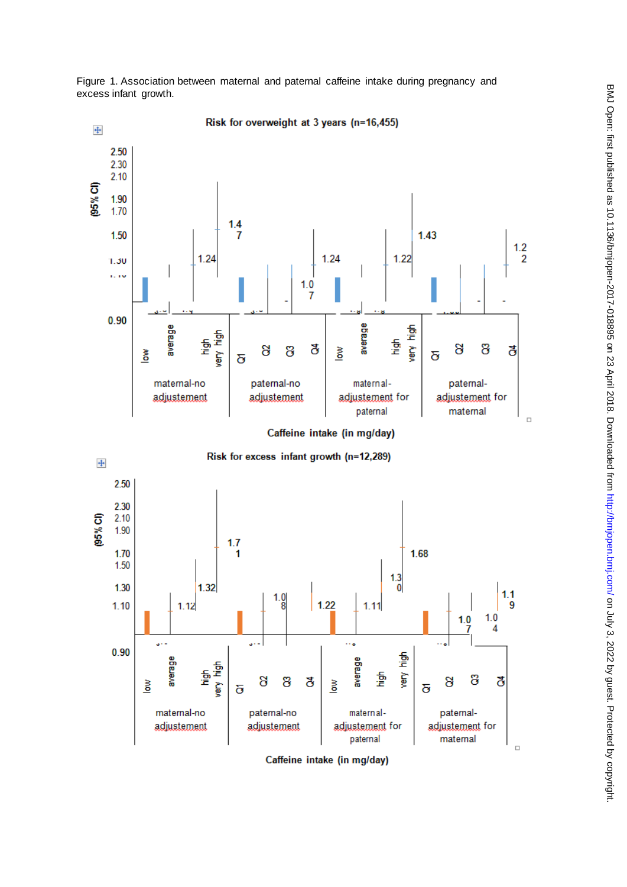

Figure 1. Association between maternal and paternal caffeine intake during pregnancy and excess infant growth.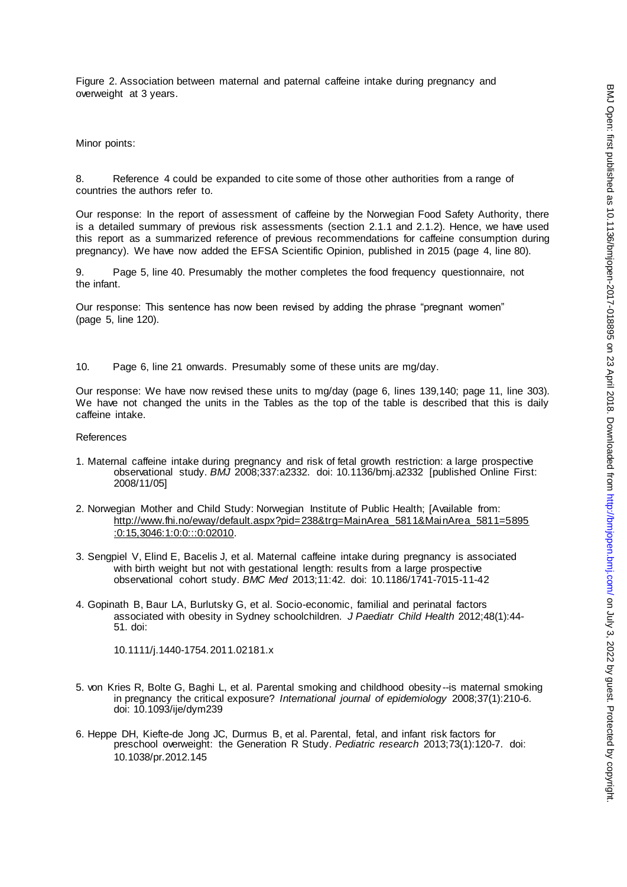Figure 2. Association between maternal and paternal caffeine intake during pregnancy and overweight at 3 years.

Minor points:

8. Reference 4 could be expanded to cite some of those other authorities from a range of countries the authors refer to.

Our response: In the report of assessment of caffeine by the Norwegian Food Safety Authority, there is a detailed summary of previous risk assessments (section 2.1.1 and 2.1.2). Hence, we have used this report as a summarized reference of previous recommendations for caffeine consumption during pregnancy). We have now added the EFSA Scientific Opinion, published in 2015 (page 4, line 80).

9. Page 5, line 40. Presumably the mother completes the food frequency questionnaire, not the infant.

Our response: This sentence has now been revised by adding the phrase "pregnant women" (page 5, line 120).

10. Page 6, line 21 onwards. Presumably some of these units are mg/day.

Our response: We have now revised these units to mg/day (page 6, lines 139,140; page 11, line 303). We have not changed the units in the Tables as the top of the table is described that this is daily caffeine intake.

References

- 1. Maternal caffeine intake during pregnancy and risk of fetal growth restriction: a large prospective observational study. *BMJ* 2008;337:a2332. doi: 10.1136/bmj.a2332 [published Online First: 2008/11/05]
- 2. Norwegian Mother and Child Study: Norwegian Institute of Public Health; [Available from: [http://www.fhi.no/eway/default.aspx?pid=238&trg=MainArea\\_5811&MainArea\\_5811=5895](http://www.fhi.no/eway/default.aspx?pid=238&trg=MainArea_5811&MainArea_5811=5895:0:15,3046:1:0:0:::0:02010) [:0:15,3046:1:0:0:::0:02010.](http://www.fhi.no/eway/default.aspx?pid=238&trg=MainArea_5811&MainArea_5811=5895:0:15,3046:1:0:0:::0:02010)
- 3. Sengpiel V, Elind E, Bacelis J, et al. Maternal caffeine intake during pregnancy is associated with birth weight but not with gestational length: results from a large prospective observational cohort study. *BMC Med* 2013;11:42. doi: 10.1186/1741-7015-11-42
- 4. Gopinath B, Baur LA, Burlutsky G, et al. Socio-economic, familial and perinatal factors associated with obesity in Sydney schoolchildren. *J Paediatr Child Health* 2012;48(1):44- 51. doi:

10.1111/j.1440-1754.2011.02181.x

- 5. von Kries R, Bolte G, Baghi L, et al. Parental smoking and childhood obesity --is maternal smoking in pregnancy the critical exposure? *International journal of epidemiology* 2008;37(1):210-6. doi: 10.1093/ije/dym239
- 6. Heppe DH, Kiefte-de Jong JC, Durmus B, et al. Parental, fetal, and infant risk factors for preschool overweight: the Generation R Study. *Pediatric research* 2013;73(1):120-7. doi: 10.1038/pr.2012.145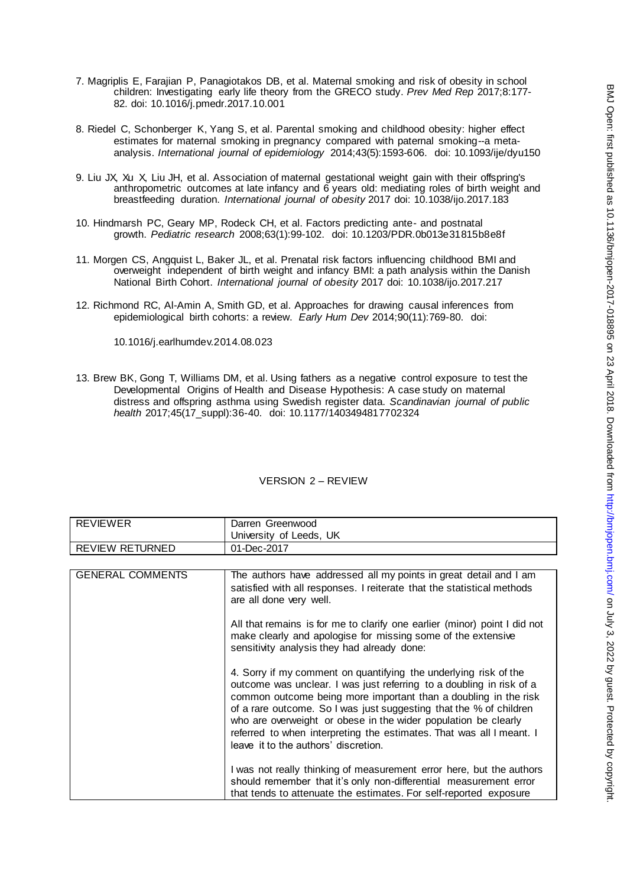- 7. Magriplis E, Farajian P, Panagiotakos DB, et al. Maternal smoking and risk of obesity in school children: Investigating early life theory from the GRECO study. *Prev Med Rep* 2017;8:177- 82. doi: 10.1016/j.pmedr.2017.10.001
- 8. Riedel C, Schonberger K, Yang S, et al. Parental smoking and childhood obesity: higher effect estimates for maternal smoking in pregnancy compared with paternal smoking--a metaanalysis. *International journal of epidemiology* 2014;43(5):1593-606. doi: 10.1093/ije/dyu150
- 9. Liu JX, Xu X, Liu JH, et al. Association of maternal gestational weight gain with their offspring's anthropometric outcomes at late infancy and 6 years old: mediating roles of birth weight and breastfeeding duration. *International journal of obesity* 2017 doi: 10.1038/ijo.2017.183
- 10. Hindmarsh PC, Geary MP, Rodeck CH, et al. Factors predicting ante- and postnatal growth. *Pediatric research* 2008;63(1):99-102. doi: 10.1203/PDR.0b013e31815b8e8f
- 11. Morgen CS, Angquist L, Baker JL, et al. Prenatal risk factors influencing childhood BMI and overweight independent of birth weight and infancy BMI: a path analysis within the Danish National Birth Cohort. *International journal of obesity* 2017 doi: 10.1038/ijo.2017.217
- 12. Richmond RC, Al-Amin A, Smith GD, et al. Approaches for drawing causal inferences from epidemiological birth cohorts: a review. *Early Hum Dev* 2014;90(11):769-80. doi:

10.1016/j.earlhumdev.2014.08.023

13. Brew BK, Gong T, Williams DM, et al. Using fathers as a negative control exposure to test the Developmental Origins of Health and Disease Hypothesis: A case study on maternal distress and offspring asthma using Swedish register data. *Scandinavian journal of public health* 2017;45(17\_suppl):36-40. doi: 10.1177/1403494817702324

| <b>REVIEWER</b>         | Darren Greenwood                                                                                                                                                                                                                                                                                                                                                                                                                                                    |  |
|-------------------------|---------------------------------------------------------------------------------------------------------------------------------------------------------------------------------------------------------------------------------------------------------------------------------------------------------------------------------------------------------------------------------------------------------------------------------------------------------------------|--|
|                         | University of Leeds, UK                                                                                                                                                                                                                                                                                                                                                                                                                                             |  |
| <b>REVIEW RETURNED</b>  | 01-Dec-2017                                                                                                                                                                                                                                                                                                                                                                                                                                                         |  |
|                         |                                                                                                                                                                                                                                                                                                                                                                                                                                                                     |  |
| <b>GENERAL COMMENTS</b> | The authors have addressed all my points in great detail and I am<br>satisfied with all responses. I reiterate that the statistical methods<br>are all done very well.                                                                                                                                                                                                                                                                                              |  |
|                         | All that remains is for me to clarify one earlier (minor) point I did not<br>make clearly and apologise for missing some of the extensive<br>sensitivity analysis they had already done:                                                                                                                                                                                                                                                                            |  |
|                         | 4. Sorry if my comment on quantifying the underlying risk of the<br>outcome was unclear. I was just referring to a doubling in risk of a<br>common outcome being more important than a doubling in the risk<br>of a rare outcome. So I was just suggesting that the % of children<br>who are overweight or obese in the wider population be clearly<br>referred to when interpreting the estimates. That was all I meant. I<br>leave it to the authors' discretion. |  |
|                         | I was not really thinking of measurement error here, but the authors<br>should remember that it's only non-differential measurement error<br>that tends to attenuate the estimates. For self-reported exposure                                                                                                                                                                                                                                                      |  |

## VERSION 2 – REVIEW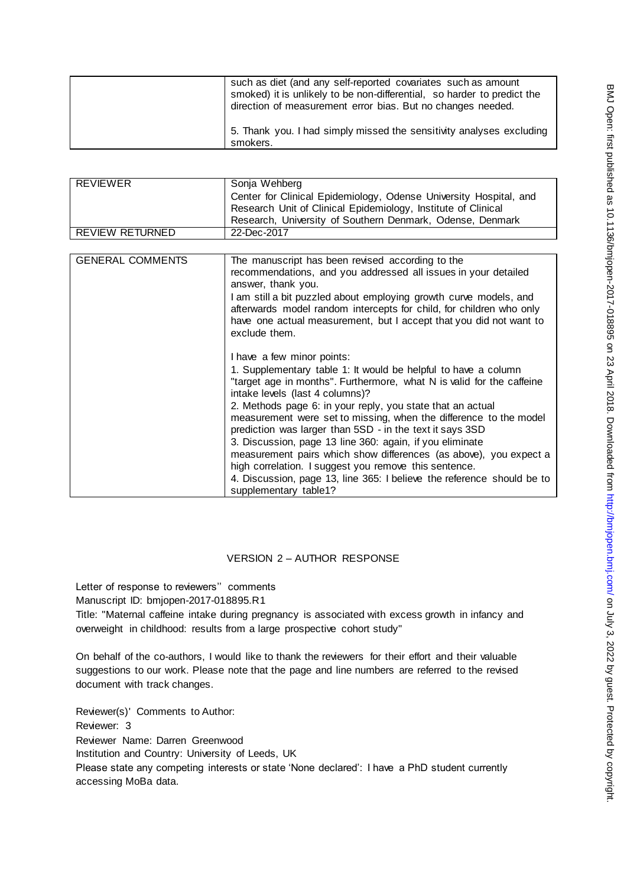| such as diet (and any self-reported covariates such as amount<br>smoked) it is unlikely to be non-differential, so harder to predict the<br>direction of measurement error bias. But no changes needed. |
|---------------------------------------------------------------------------------------------------------------------------------------------------------------------------------------------------------|
| 5. Thank you. I had simply missed the sensitivity analyses excluding<br>smokers.                                                                                                                        |

| <b>REVIEWER</b>         | Sonja Wehberg                                                                                                                                                                                                                   |  |
|-------------------------|---------------------------------------------------------------------------------------------------------------------------------------------------------------------------------------------------------------------------------|--|
|                         | Center for Clinical Epidemiology, Odense University Hospital, and                                                                                                                                                               |  |
|                         | Research Unit of Clinical Epidemiology, Institute of Clinical                                                                                                                                                                   |  |
|                         | Research, University of Southern Denmark, Odense, Denmark                                                                                                                                                                       |  |
| <b>REVIEW RETURNED</b>  | 22-Dec-2017                                                                                                                                                                                                                     |  |
|                         |                                                                                                                                                                                                                                 |  |
| <b>GENERAL COMMENTS</b> | The manuscript has been revised according to the                                                                                                                                                                                |  |
|                         | recommendations, and you addressed all issues in your detailed<br>answer, thank you.                                                                                                                                            |  |
|                         | I am still a bit puzzled about employing growth curve models, and<br>afterwards model random intercepts for child, for children who only<br>have one actual measurement, but I accept that you did not want to<br>exclude them. |  |
|                         | I have a few minor points:                                                                                                                                                                                                      |  |
|                         | 1. Supplementary table 1: It would be helpful to have a column                                                                                                                                                                  |  |
|                         | "target age in months". Furthermore, what N is valid for the caffeine<br>intake levels (last 4 columns)?                                                                                                                        |  |
|                         | 2. Methods page 6: in your reply, you state that an actual                                                                                                                                                                      |  |
|                         | measurement were set to missing, when the difference to the model                                                                                                                                                               |  |

# VERSION 2 – AUTHOR RESPONSE

prediction was larger than 5SD - in the text it says 3SD 3. Discussion, page 13 line 360: again, if you eliminate

high correlation. I suggest you remove this sentence.

measurement pairs which show differences (as above), you expect a

4. Discussion, page 13, line 365: I believe the reference should be to

Letter of response to reviewers'' comments Manuscript ID: bmjopen-2017-018895.R1 Title: "Maternal caffeine intake during pregnancy is associated with excess growth in infancy and

supplementary table1?

overweight in childhood: results from a large prospective cohort study"

On behalf of the co-authors, I would like to thank the reviewers for their effort and their valuable suggestions to our work. Please note that the page and line numbers are referred to the revised document with track changes.

Reviewer(s)' Comments to Author: Reviewer: 3 Reviewer Name: Darren Greenwood Institution and Country: University of Leeds, UK Please state any competing interests or state 'None declared': I have a PhD student currently accessing MoBa data.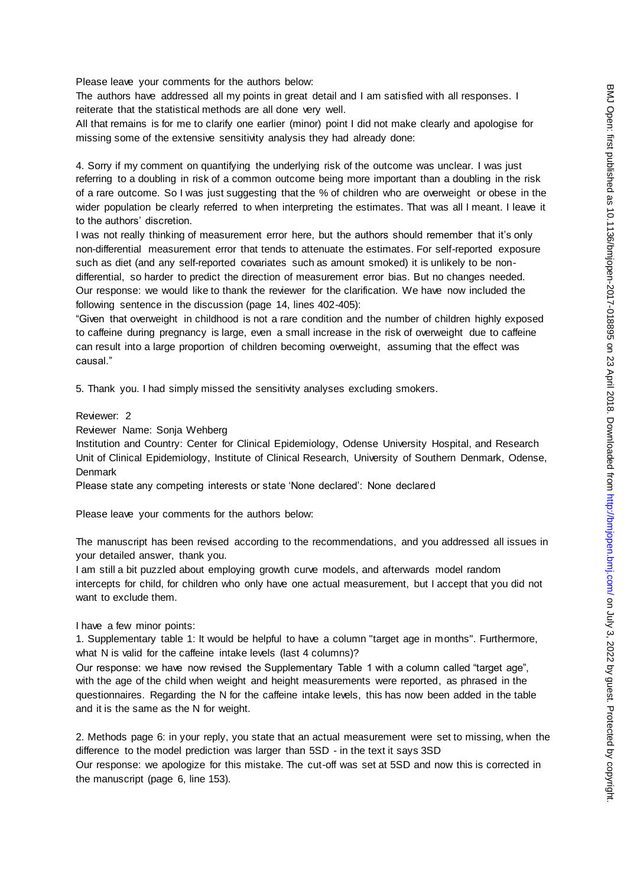Please leave your comments for the authors below:

The authors have addressed all my points in great detail and I am satisfied with all responses. I reiterate that the statistical methods are all done very well.

All that remains is for me to clarify one earlier (minor) point I did not make clearly and apologise for missing some of the extensive sensitivity analysis they had already done:

4. Sorry if my comment on quantifying the underlying risk of the outcome was unclear. I was just referring to a doubling in risk of a common outcome being more important than a doubling in the risk of a rare outcome. So I was just suggesting that the % of children who are overweight or obese in the wider population be clearly referred to when interpreting the estimates. That was all I meant. I leave it to the authors' discretion.

I was not really thinking of measurement error here, but the authors should remember that it's only non-differential measurement error that tends to attenuate the estimates. For self-reported exposure such as diet (and any self-reported covariates such as amount smoked) it is unlikely to be nondifferential, so harder to predict the direction of measurement error bias. But no changes needed. Our response: we would like to thank the reviewer for the clarification. We have now included the following sentence in the discussion (page 14, lines 402-405):

"Given that overweight in childhood is not a rare condition and the number of children highly exposed to caffeine during pregnancy is large, even a small increase in the risk of overweight due to caffeine can result into a large proportion of children becoming overweight, assuming that the effect was causal."

5. Thank you. I had simply missed the sensitivity analyses excluding smokers.

#### Reviewer: 2

Reviewer Name: Sonja Wehberg

Institution and Country: Center for Clinical Epidemiology, Odense University Hospital, and Research Unit of Clinical Epidemiology, Institute of Clinical Research, University of Southern Denmark, Odense, **Denmark** 

Please state any competing interests or state 'None declared': None declared

Please leave your comments for the authors below:

The manuscript has been revised according to the recommendations, and you addressed all issues in your detailed answer, thank you.

I am still a bit puzzled about employing growth curve models, and afterwards model random intercepts for child, for children who only have one actual measurement, but I accept that you did not want to exclude them.

I have a few minor points:

1. Supplementary table 1: It would be helpful to have a column "target age in months". Furthermore, what N is valid for the caffeine intake levels (last 4 columns)?

Our response: we have now revised the Supplementary Table 1 with a column called "target age", with the age of the child when weight and height measurements were reported, as phrased in the questionnaires. Regarding the N for the caffeine intake levels, this has now been added in the table and it is the same as the N for weight.

2. Methods page 6: in your reply, you state that an actual measurement were set to missing, when the difference to the model prediction was larger than 5SD - in the text it says 3SD

Our response: we apologize for this mistake. The cut-off was set at 5SD and now this is corrected in the manuscript (page 6, line 153).